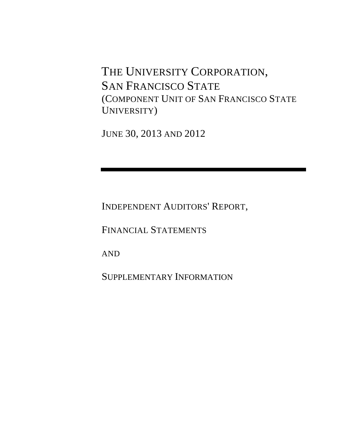THE UNIVERSITY CORPORATION, SAN FRANCISCO STATE (COMPONENT UNIT OF SAN FRANCISCO STATE UNIVERSITY)

JUNE 30, 2013 AND 2012

INDEPENDENT AUDITORS' REPORT,

FINANCIAL STATEMENTS

AND

SUPPLEMENTARY INFORMATION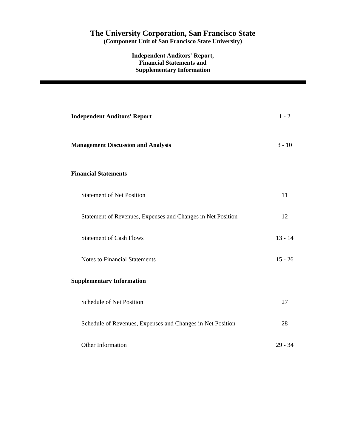# **The University Corporation, San Francisco State**

**(Component Unit of San Francisco State University)** 

**Independent Auditors' Report, Financial Statements and Supplementary Information** 

| <b>Independent Auditors' Report</b>                         | $1 - 2$   |
|-------------------------------------------------------------|-----------|
| <b>Management Discussion and Analysis</b>                   | $3 - 10$  |
| <b>Financial Statements</b>                                 |           |
| <b>Statement of Net Position</b>                            | 11        |
| Statement of Revenues, Expenses and Changes in Net Position | 12        |
| <b>Statement of Cash Flows</b>                              | $13 - 14$ |
| <b>Notes to Financial Statements</b>                        | $15 - 26$ |
| <b>Supplementary Information</b>                            |           |
| Schedule of Net Position                                    | 27        |
| Schedule of Revenues, Expenses and Changes in Net Position  | 28        |
| Other Information                                           | $29 - 34$ |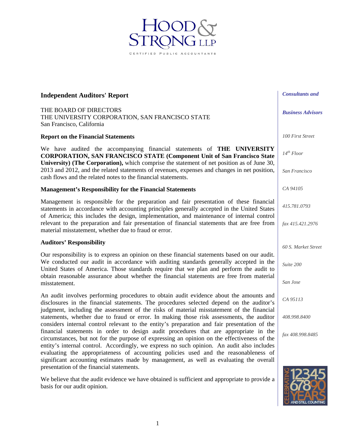## **Independent Auditors' Report**

THE BOARD OF DIRECTORS THE UNIVERSITY CORPORATION, SAN FRANCISCO STATE San Francisco, California

## **Report on the Financial Statements**

We have audited the accompanying financial statements of **THE UNIVERSITY CORPORATION, SAN FRANCISCO STATE (Component Unit of San Francisco State University) (The Corporation),** which comprise the statement of net position as of June 30, 2013 and 2012, and the related statements of revenues, expenses and changes in net position, cash flows and the related notes to the financial statements.

IED PUBLIC ACCOU

## **Management's Responsibility for the Financial Statements**

Management is responsible for the preparation and fair presentation of these financial statements in accordance with accounting principles generally accepted in the United States of America; this includes the design, implementation, and maintenance of internal control relevant to the preparation and fair presentation of financial statements that are free from material misstatement, whether due to fraud or error.

## **Auditors' Responsibility**

Our responsibility is to express an opinion on these financial statements based on our audit. We conducted our audit in accordance with auditing standards generally accepted in the United States of America. Those standards require that we plan and perform the audit to obtain reasonable assurance about whether the financial statements are free from material misstatement.

An audit involves performing procedures to obtain audit evidence about the amounts and disclosures in the financial statements. The procedures selected depend on the auditor's judgment, including the assessment of the risks of material misstatement of the financial statements, whether due to fraud or error. In making those risk assessments, the auditor considers internal control relevant to the entity's preparation and fair presentation of the financial statements in order to design audit procedures that are appropriate in the circumstances, but not for the purpose of expressing an opinion on the effectiveness of the entity's internal control. Accordingly, we express no such opinion. An audit also includes evaluating the appropriateness of accounting policies used and the reasonableness of significant accounting estimates made by management, as well as evaluating the overall presentation of the financial statements.

We believe that the audit evidence we have obtained is sufficient and appropriate to provide a basis for our audit opinion.

*Business Advisors* 

*Consultants and* 

*14th Floor* 

*100 First Street* 

*San Francisco* 

*CA 94105* 

*415.781.0793* 

*fax 415.421.2976* 

*60 S. Market Street* 

*Suite 200* 

*San Jose* 

*CA 95113* 

*408.998.8400* 

*fax 408.998.8485* 

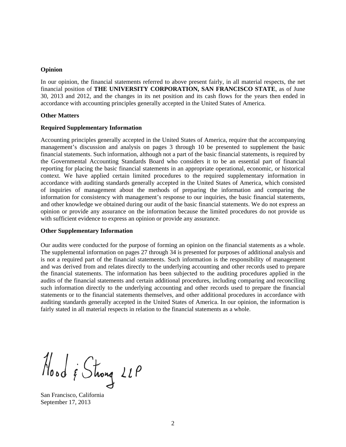### **Opinion**

In our opinion, the financial statements referred to above present fairly, in all material respects, the net financial position of **THE UNIVERSITY CORPORATION, SAN FRANCISCO STATE**, as of June 30, 2013 and 2012, and the changes in its net position and its cash flows for the years then ended in accordance with accounting principles generally accepted in the United States of America.

### **Other Matters**

### **Required Supplementary Information**

Accounting principles generally accepted in the United States of America, require that the accompanying management's discussion and analysis on pages 3 through 10 be presented to supplement the basic financial statements. Such information, although not a part of the basic financial statements, is required by the Governmental Accounting Standards Board who considers it to be an essential part of financial reporting for placing the basic financial statements in an appropriate operational, economic, or historical context. We have applied certain limited procedures to the required supplementary information in accordance with auditing standards generally accepted in the United States of America, which consisted of inquiries of management about the methods of preparing the information and comparing the information for consistency with management's response to our inquiries, the basic financial statements, and other knowledge we obtained during our audit of the basic financial statements. We do not express an opinion or provide any assurance on the information because the limited procedures do not provide us with sufficient evidence to express an opinion or provide any assurance.

#### **Other Supplementary Information**

Our audits were conducted for the purpose of forming an opinion on the financial statements as a whole. The supplemental information on pages 27 through 34 is presented for purposes of additional analysis and is not a required part of the financial statements. Such information is the responsibility of management and was derived from and relates directly to the underlying accounting and other records used to prepare the financial statements. The information has been subjected to the auditing procedures applied in the audits of the financial statements and certain additional procedures, including comparing and reconciling such information directly to the underlying accounting and other records used to prepare the financial statements or to the financial statements themselves, and other additional procedures in accordance with auditing standards generally accepted in the United States of America. In our opinion, the information is fairly stated in all material respects in relation to the financial statements as a whole.

Hood & Strong 21P

San Francisco, California September 17, 2013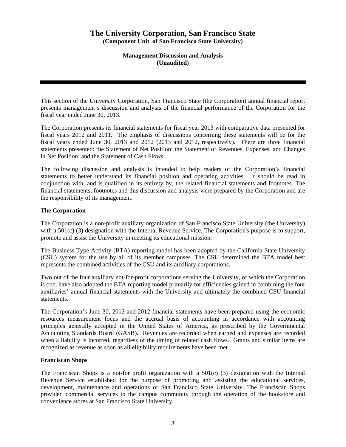**Management Discussion and Analysis (Unaudited)** 

This section of the University Corporation, San Francisco State (the Corporation) annual financial report presents management's discussion and analysis of the financial performance of the Corporation for the fiscal year ended June 30, 2013.

The Corporation presents its financial statements for fiscal year 2013 with comparative data presented for fiscal years 2012 and 2011. The emphasis of discussions concerning these statements will be for the fiscal years ended June 30, 2013 and 2012 (2013 and 2012, respectively). There are three financial statements presented: the Statement of Net Position; the Statement of Revenues, Expenses, and Changes in Net Position; and the Statement of Cash Flows.

The following discussion and analysis is intended to help readers of the Corporation's financial statements to better understand its financial position and operating activities. It should be read in conjunction with, and is qualified in its entirety by, the related financial statements and footnotes. The financial statements, footnotes and this discussion and analysis were prepared by the Corporation and are the responsibility of its management.

## **The Corporation**

The Corporation is a non-profit auxiliary organization of San Francisco State University (the University) with a 501(c) (3) designation with the Internal Revenue Service. The Corporation's purpose is to support, promote and assist the University in meeting its educational mission.

The Business Type Activity (BTA) reporting model has been adopted by the California State University (CSU) system for the use by all of its member campuses. The CSU determined the BTA model best represents the combined activities of the CSU and its auxiliary corporations.

Two out of the four auxiliary not-for-profit corporations serving the University, of which the Corporation is one, have also adopted the BTA reporting model primarily for efficiencies gained in combining the four auxiliaries' annual financial statements with the University and ultimately the combined CSU financial statements.

The Corporation's June 30, 2013 and 2012 financial statements have been prepared using the economic resources measurement focus and the accrual basis of accounting in accordance with accounting principles generally accepted in the United States of America, as prescribed by the Governmental Accounting Standards Board (GASB). Revenues are recorded when earned and expenses are recorded when a liability is incurred, regardless of the timing of related cash flows. Grants and similar items are recognized as revenue as soon as all eligibility requirements have been met.

## **Franciscan Shops**

The Franciscan Shops is a not-for profit organization with a  $501(c)$  (3) designation with the Internal Revenue Service established for the purpose of promoting and assisting the educational services, development, maintenance and operations of San Francisco State University. The Franciscan Shops provided commercial services to the campus community through the operation of the bookstore and convenience stores at San Francisco State University.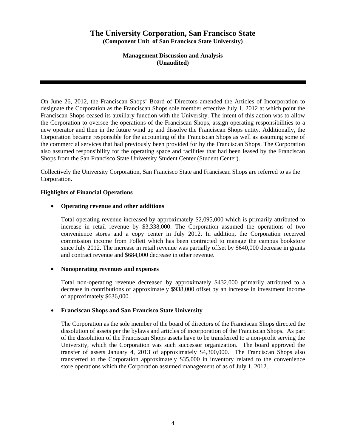**Management Discussion and Analysis (Unaudited)** 

On June 26, 2012, the Franciscan Shops' Board of Directors amended the Articles of Incorporation to designate the Corporation as the Franciscan Shops sole member effective July 1, 2012 at which point the Franciscan Shops ceased its auxiliary function with the University. The intent of this action was to allow the Corporation to oversee the operations of the Franciscan Shops, assign operating responsibilities to a new operator and then in the future wind up and dissolve the Franciscan Shops entity. Additionally, the Corporation became responsible for the accounting of the Franciscan Shops as well as assuming some of the commercial services that had previously been provided for by the Franciscan Shops. The Corporation also assumed responsibility for the operating space and facilities that had been leased by the Franciscan Shops from the San Francisco State University Student Center (Student Center).

Collectively the University Corporation, San Francisco State and Franciscan Shops are referred to as the Corporation.

## **Highlights of Financial Operations**

## • **Operating revenue and other additions**

Total operating revenue increased by approximately \$2,095,000 which is primarily attributed to increase in retail revenue by \$3,338,000. The Corporation assumed the operations of two convenience stores and a copy center in July 2012. In addition, the Corporation received commission income from Follett which has been contracted to manage the campus bookstore since July 2012. The increase in retail revenue was partially offset by \$640,000 decrease in grants and contract revenue and \$684,000 decrease in other revenue.

## • **Nonoperating revenues and expenses**

Total non-operating revenue decreased by approximately \$432,000 primarily attributed to a decrease in contributions of approximately \$938,000 offset by an increase in investment income of approximately \$636,000.

## • **Franciscan Shops and San Francisco State University**

The Corporation as the sole member of the board of directors of the Franciscan Shops directed the dissolution of assets per the bylaws and articles of incorporation of the Franciscan Shops. As part of the dissolution of the Franciscan Shops assets have to be transferred to a non-profit serving the University, which the Corporation was such successor organization. The board approved the transfer of assets January 4, 2013 of approximately \$4,300,000. The Franciscan Shops also transferred to the Corporation approximately \$35,000 in inventory related to the convenience store operations which the Corporation assumed management of as of July 1, 2012.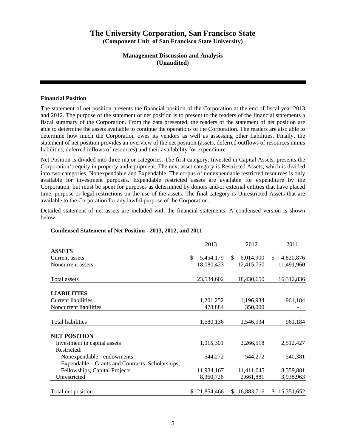## **Management Discussion and Analysis (Unaudited)**

## **Financial Position**

The statement of net position presents the financial position of the Corporation at the end of fiscal year 2013 and 2012. The purpose of the statement of net position is to present to the readers of the financial statements a fiscal summary of the Corporation. From the data presented, the readers of the statement of net position are able to determine the assets available to continue the operations of the Corporation. The readers are also able to determine how much the Corporation owes its vendors as well as assessing other liabilities. Finally, the statement of net position provides an overview of the net position (assets, deferred outflows of resources minus liabilities, deferred inflows of resources) and their availability for expenditure.

Net Position is divided into three major categories. The first category, Invested in Capital Assets, presents the Corporation's equity in property and equipment. The next asset category is Restricted Assets, which is divided into two categories, Nonexpendable and Expendable. The corpus of nonexpendable restricted resources is only available for investment purposes. Expendable restricted assets are available for expenditure by the Corporation, but must be spent for purposes as determined by donors and/or external entities that have placed time, purpose or legal restrictions on the use of the assets. The final category is Unrestricted Assets that are available to the Corporation for any lawful purpose of the Corporation.

Detailed statement of net assets are included with the financial statements. A condensed version is shown below:

## **Condensed Statement of Net Position - 2013, 2012, and 2011**

|                                                  | 2013             |    | 2012       |    | 2011       |
|--------------------------------------------------|------------------|----|------------|----|------------|
| <b>ASSETS</b>                                    |                  |    |            |    |            |
| Current assets                                   | \$<br>5,454,179  | \$ | 6,014,900  | \$ | 4,820,876  |
| Noncurrent assets                                | 18,080,423       |    | 12,415,750 |    | 11,491,960 |
| Total assets                                     | 23,534,602       |    | 18,430,650 |    | 16,312,836 |
| <b>LIABILITIES</b>                               |                  |    |            |    |            |
| <b>Current liabilities</b>                       | 1,201,252        |    | 1,196,934  |    | 961,184    |
| Noncurrent liabilities                           | 478,884          |    | 350,000    |    |            |
|                                                  |                  |    |            |    |            |
| <b>Total liabilities</b>                         | 1,680,136        |    | 1,546,934  |    | 961,184    |
| <b>NET POSITION</b>                              |                  |    |            |    |            |
| Investment in capital assets                     | 1,015,301        |    | 2,266,518  |    | 2,512,427  |
| Restricted:                                      |                  |    |            |    |            |
| Nonexpendable - endowments                       | 544,272          |    | 544,272    |    | 540,381    |
| Expendable - Grants and Contracts, Scholarships, |                  |    |            |    |            |
| Fellowships, Capital Projects                    | 11,934,167       |    | 11,411,045 |    | 8,359,881  |
| Unrestricted                                     | 8,360,726        |    | 2,661,881  |    | 3,938,963  |
| Total net position                               | \$<br>21,854,466 | S. | 16,883,716 | S. | 15,351,652 |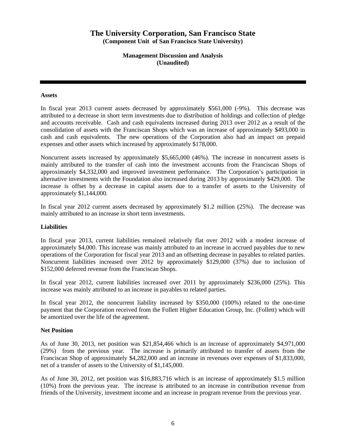**Management Discussion and Analysis (Unaudited)** 

### **Assets**

In fiscal year 2013 current assets decreased by approximately \$561,000 (-9%). This decrease was attributed to a decrease in short term investments due to distribution of holdings and collection of pledge and accounts receivable. Cash and cash equivalents increased during 2013 over 2012 as a result of the consolidation of assets with the Franciscan Shops which was an increase of approximately \$493,000 in cash and cash equivalents. The new operations of the Corporation also had an impact on prepaid expenses and other assets which increased by approximately \$178,000.

Noncurrent assets increased by approximately \$5,665,000 (46%). The increase in noncurrent assets is mainly attributed to the transfer of cash into the investment accounts from the Franciscan Shops of approximately \$4,332,000 and improved investment performance. The Corporation's participation in alternative investments with the Foundation also increased during 2013 by approximately \$429,000. The increase is offset by a decrease in capital assets due to a transfer of assets to the University of approximately \$1,144,000.

In fiscal year 2012 current assets decreased by approximately \$1.2 million (25%). The decrease was mainly attributed to an increase in short term investments.

## **Liabilities**

In fiscal year 2013, current liabilities remained relatively flat over 2012 with a modest increase of approximately \$4,000. This increase was mainly attributed to an increase in accrued payables due to new operations of the Corporation for fiscal year 2013 and an offsetting decrease in payables to related parties. Noncurrent liabilities increased over 2012 by approximately \$129,000 (37%) due to inclusion of \$152,000 deferred revenue from the Franciscan Shops.

In fiscal year 2012, current liabilities increased over 2011 by approximately \$236,000 (25%). This increase was mainly attributed to an increase in payables to related parties.

In fiscal year 2012, the noncurrent liability increased by \$350,000 (100%) related to the one-time payment that the Corporation received from the Follett Higher Education Group, Inc. (Follett) which will be amortized over the life of the agreement.

## **Net Position**

As of June 30, 2013, net position was \$21,854,466 which is an increase of approximately \$4,971,000 (29%) from the previous year. The increase is primarily attributed to transfer of assets from the Franciscan Shop of approximately \$4,282,000 and an increase in revenues over expenses of \$1,833,000, net of a transfer of assets to the University of \$1,145,000.

As of June 30, 2012, net position was \$16,883,716 which is an increase of approximately \$1.5 million (10%) from the previous year. The increase is attributed to an increase in contribution revenue from friends of the University, investment income and an increase in program revenue from the previous year.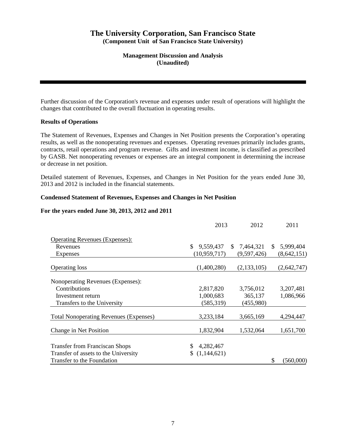## **Management Discussion and Analysis (Unaudited)**

Further discussion of the Corporation's revenue and expenses under result of operations will highlight the changes that contributed to the overall fluctuation in operating results.

## **Results of Operations**

The Statement of Revenues, Expenses and Changes in Net Position presents the Corporation's operating results, as well as the nonoperating revenues and expenses. Operating revenues primarily includes grants, contracts, retail operations and program revenue. Gifts and investment income, is classified as prescribed by GASB. Net nonoperating revenues or expenses are an integral component in determining the increase or decrease in net position.

Detailed statement of Revenues, Expenses, and Changes in Net Position for the years ended June 30, 2013 and 2012 is included in the financial statements.

## **Condensed Statement of Revenues, Expenses and Changes in Net Position**

## **For the years ended June 30, 2013, 2012 and 2011**

|                                               | 2013            | 2012                      |    | 2011          |
|-----------------------------------------------|-----------------|---------------------------|----|---------------|
| <b>Operating Revenues (Expenses):</b>         |                 |                           |    |               |
| Revenues                                      | \$<br>9,559,437 | <sup>S</sup><br>7,464,321 | S. | 5,999,404     |
| Expenses                                      | (10, 959, 717)  | (9,597,426)               |    | (8, 642, 151) |
| <b>Operating loss</b>                         | (1,400,280)     | (2, 133, 105)             |    | (2,642,747)   |
| Nonoperating Revenues (Expenses):             |                 |                           |    |               |
| Contributions                                 | 2,817,820       | 3,756,012                 |    | 3,207,481     |
| Investment return                             | 1,000,683       | 365,137                   |    | 1,086,966     |
| Transfers to the University                   | (585, 319)      | (455,980)                 |    |               |
| <b>Total Nonoperating Revenues (Expenses)</b> | 3,233,184       | 3,665,169                 |    | 4,294,447     |
| Change in Net Position                        | 1,832,904       | 1,532,064                 |    | 1,651,700     |
| <b>Transfer from Franciscan Shops</b>         | S<br>4,282,467  |                           |    |               |
| Transfer of assets to the University          | (1,144,621)     |                           |    |               |
| Transfer to the Foundation                    |                 |                           | S  | (560,000)     |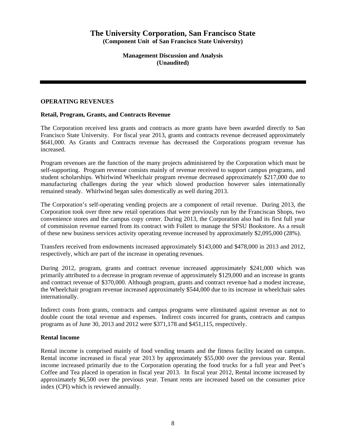**Management Discussion and Analysis (Unaudited)** 

## **OPERATING REVENUES**

## **Retail, Program, Grants, and Contracts Revenue**

The Corporation received less grants and contracts as more grants have been awarded directly to San Francisco State University. For fiscal year 2013, grants and contracts revenue decreased approximately \$641,000. As Grants and Contracts revenue has decreased the Corporations program revenue has increased.

Program revenues are the function of the many projects administered by the Corporation which must be self-supporting. Program revenue consists mainly of revenue received to support campus programs, and student scholarships. Whirlwind Wheelchair program revenue decreased approximately \$217,000 due to manufacturing challenges during the year which slowed production however sales internationally remained steady. Whirlwind began sales domestically as well during 2013.

The Corporation's self-operating vending projects are a component of retail revenue. During 2013, the Corporation took over three new retail operations that were previously run by the Franciscan Shops, two convenience stores and the campus copy center. During 2013, the Corporation also had its first full year of commission revenue earned from its contract with Follett to manage the SFSU Bookstore. As a result of these new business services activity operating revenue increased by approximately \$2,095,000 (28%).

Transfers received from endowments increased approximately \$143,000 and \$478,000 in 2013 and 2012, respectively, which are part of the increase in operating revenues.

During 2012, program, grants and contract revenue increased approximately \$241,000 which was primarily attributed to a decrease in program revenue of approximately \$129,000 and an increase in grants and contract revenue of \$370,000. Although program, grants and contract revenue had a modest increase, the Wheelchair program revenue increased approximately \$544,000 due to its increase in wheelchair sales internationally.

Indirect costs from grants, contracts and campus programs were eliminated against revenue as not to double count the total revenue and expenses. Indirect costs incurred for grants, contracts and campus programs as of June 30, 2013 and 2012 were \$371,178 and \$451,115, respectively.

## **Rental Income**

Rental income is comprised mainly of food vending tenants and the fitness facility located on campus. Rental income increased in fiscal year 2013 by approximately \$55,000 over the previous year. Rental income increased primarily due to the Corporation operating the food trucks for a full year and Peet's Coffee and Tea placed in operation in fiscal year 2013. In fiscal year 2012, Rental income increased by approximately \$6,500 over the previous year. Tenant rents are increased based on the consumer price index (CPI) which is reviewed annually.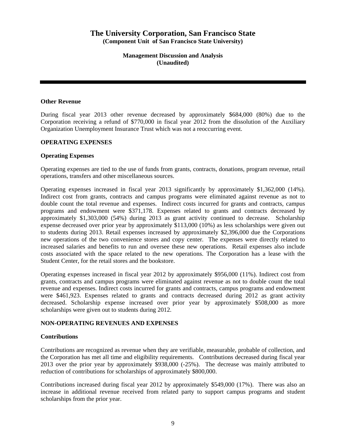**Management Discussion and Analysis (Unaudited)** 

### **Other Revenue**

During fiscal year 2013 other revenue decreased by approximately \$684,000 (80%) due to the Corporation receiving a refund of \$770,000 in fiscal year 2012 from the dissolution of the Auxiliary Organization Unemployment Insurance Trust which was not a reoccurring event.

### **OPERATING EXPENSES**

### **Operating Expenses**

Operating expenses are tied to the use of funds from grants, contracts, donations, program revenue, retail operations, transfers and other miscellaneous sources.

Operating expenses increased in fiscal year 2013 significantly by approximately \$1,362,000 (14%). Indirect cost from grants, contracts and campus programs were eliminated against revenue as not to double count the total revenue and expenses. Indirect costs incurred for grants and contracts, campus programs and endowment were \$371,178. Expenses related to grants and contracts decreased by approximately \$1,303,000 (54%) during 2013 as grant activity continued to decrease. Scholarship expense decreased over prior year by approximately \$113,000 (10%) as less scholarships were given out to students during 2013. Retail expenses increased by approximately \$2,396,000 due the Corporations new operations of the two convenience stores and copy center. The expenses were directly related to increased salaries and benefits to run and oversee these new operations. Retail expenses also include costs associated with the space related to the new operations. The Corporation has a lease with the Student Center, for the retail stores and the bookstore.

Operating expenses increased in fiscal year 2012 by approximately \$956,000 (11%). Indirect cost from grants, contracts and campus programs were eliminated against revenue as not to double count the total revenue and expenses. Indirect costs incurred for grants and contracts, campus programs and endowment were \$461,923. Expenses related to grants and contracts decreased during 2012 as grant activity decreased. Scholarship expense increased over prior year by approximately \$508,000 as more scholarships were given out to students during 2012.

## **NON-OPERATING REVENUES AND EXPENSES**

#### **Contributions**

Contributions are recognized as revenue when they are verifiable, measurable, probable of collection, and the Corporation has met all time and eligibility requirements. Contributions decreased during fiscal year 2013 over the prior year by approximately \$938,000 (-25%). The decrease was mainly attributed to reduction of contributions for scholarships of approximately \$800,000.

Contributions increased during fiscal year 2012 by approximately \$549,000 (17%). There was also an increase in additional revenue received from related party to support campus programs and student scholarships from the prior year.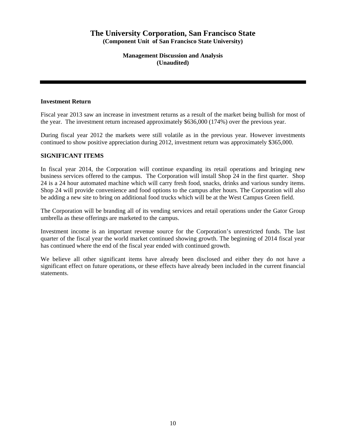**Management Discussion and Analysis (Unaudited)** 

## **Investment Return**

Fiscal year 2013 saw an increase in investment returns as a result of the market being bullish for most of the year. The investment return increased approximately \$636,000 (174%) over the previous year.

During fiscal year 2012 the markets were still volatile as in the previous year. However investments continued to show positive appreciation during 2012, investment return was approximately \$365,000.

## **SIGNIFICANT ITEMS**

In fiscal year 2014, the Corporation will continue expanding its retail operations and bringing new business services offered to the campus. The Corporation will install Shop 24 in the first quarter. Shop 24 is a 24 hour automated machine which will carry fresh food, snacks, drinks and various sundry items. Shop 24 will provide convenience and food options to the campus after hours. The Corporation will also be adding a new site to bring on additional food trucks which will be at the West Campus Green field.

The Corporation will be branding all of its vending services and retail operations under the Gator Group umbrella as these offerings are marketed to the campus.

Investment income is an important revenue source for the Corporation's unrestricted funds. The last quarter of the fiscal year the world market continued showing growth. The beginning of 2014 fiscal year has continued where the end of the fiscal year ended with continued growth.

We believe all other significant items have already been disclosed and either they do not have a significant effect on future operations, or these effects have already been included in the current financial statements.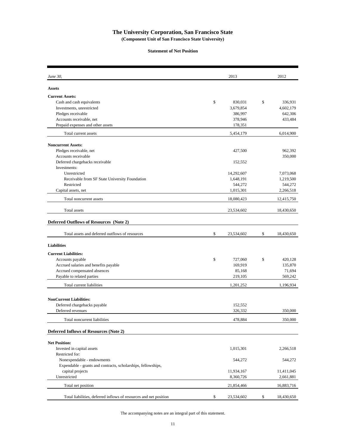#### **Statement of Net Position**

| June 30,                                                          | 2013             | 2012             |
|-------------------------------------------------------------------|------------------|------------------|
| <b>Assets</b>                                                     |                  |                  |
| <b>Current Assets:</b>                                            |                  |                  |
| Cash and cash equivalents                                         | \$<br>830,031    | \$<br>336,931    |
| Investments, unrestricted                                         | 3,679,854        | 4,602,179        |
| Pledges receivable                                                | 386,997          | 642,306          |
| Accounts receivable, net                                          | 378,946          | 433,484          |
| Prepaid expenses and other assets                                 | 178,351          |                  |
| Total current assets                                              | 5,454,179        | 6,014,900        |
| <b>Noncurrent Assets:</b>                                         |                  |                  |
| Pledges receivable, net                                           | 427,500          | 962,392          |
| Accounts receivable                                               |                  | 350,000          |
| Deferred chargebacks receivable                                   | 152,552          |                  |
| Investments:                                                      |                  |                  |
| Unrestricted                                                      | 14,292,607       | 7,073,068        |
| Receivable from SF State University Foundation                    | 1,648,191        | 1,219,500        |
| Restricted                                                        | 544,272          | 544,272          |
| Capital assets, net                                               | 1,015,301        | 2,266,518        |
| Total noncurrent assets                                           | 18,080,423       | 12,415,750       |
| Total assets                                                      | 23,534,602       | 18,430,650       |
| <b>Deferred Outflows of Resources (Note 2)</b>                    |                  |                  |
|                                                                   |                  |                  |
| Total assets and deferred outflows of resources                   | \$<br>23,534,602 | \$<br>18,430,650 |
| <b>Liabilities</b>                                                |                  |                  |
| <b>Current Liabilities:</b>                                       |                  |                  |
| Accounts payable                                                  | \$<br>727,060    | \$<br>420,128    |
| Accrued salaries and benefits payable                             | 169,919          | 135,870          |
| Accrued compensated absences                                      | 85,168           | 71,694           |
| Payable to related parties                                        | 219,105          | 569,242          |
| Total current liabilities                                         | 1,201,252        | 1,196,934        |
|                                                                   |                  |                  |
| <b>NonCurrent Liabilities:</b>                                    |                  |                  |
| Deferred chargebacks payable                                      | 152,552          |                  |
| Deferred revenues                                                 | 326,332          | 350,000          |
| Total noncurrent liabilities                                      | 478,884          | 350,000          |
| <b>Deferred Inflows of Resources (Note 2)</b>                     |                  |                  |
|                                                                   |                  |                  |
| <b>Net Position:</b>                                              |                  |                  |
| Invested in capital assets                                        | 1,015,301        | 2,266,518        |
| Restricted for:                                                   |                  |                  |
| Nonexpendable - endowments                                        | 544,272          | 544,272          |
| Expendable - grants and contracts, scholarships, fellowships,     |                  |                  |
| capital projects                                                  | 11,934,167       | 11,411,045       |
| Unrestricted                                                      | 8,360,726        | 2,661,881        |
| Total net position                                                | 21,854,466       | 16,883,716       |
| Total liabilities, deferred inflows of resources and net position | \$<br>23,534,602 | \$<br>18,430,650 |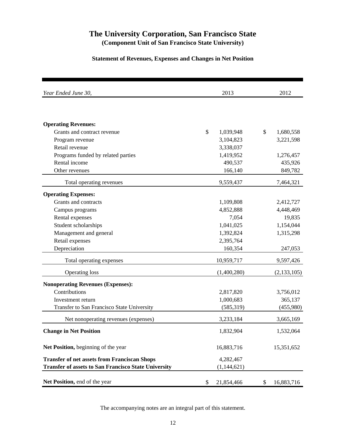## **Statement of Revenues, Expenses and Changes in Net Position**

| Year Ended June 30,                                         |    | 2012        |                  |
|-------------------------------------------------------------|----|-------------|------------------|
|                                                             |    |             |                  |
| <b>Operating Revenues:</b>                                  |    |             |                  |
| Grants and contract revenue                                 | \$ | 1,039,948   | \$<br>1,680,558  |
| Program revenue                                             |    | 3,104,823   | 3,221,598        |
| Retail revenue                                              |    | 3,338,037   |                  |
| Programs funded by related parties                          |    | 1,419,952   | 1,276,457        |
| Rental income                                               |    | 490,537     | 435,926          |
| Other revenues                                              |    | 166,140     | 849,782          |
| Total operating revenues                                    |    | 9,559,437   | 7,464,321        |
| <b>Operating Expenses:</b>                                  |    |             |                  |
| Grants and contracts                                        |    | 1,109,808   | 2,412,727        |
| Campus programs                                             |    | 4,852,888   | 4,448,469        |
| Rental expenses                                             |    | 7,054       | 19,835           |
| Student scholarships                                        |    | 1,041,025   | 1,154,044        |
| Management and general                                      |    | 1,392,824   | 1,315,298        |
| Retail expenses                                             |    | 2,395,764   |                  |
| Depreciation                                                |    | 160,354     | 247,053          |
| Total operating expenses                                    |    | 10,959,717  | 9,597,426        |
| <b>Operating loss</b>                                       |    | (1,400,280) | (2, 133, 105)    |
| <b>Nonoperating Revenues (Expenses):</b>                    |    |             |                  |
| Contributions                                               |    | 2,817,820   | 3,756,012        |
| Investment return                                           |    | 1,000,683   | 365,137          |
| Transfer to San Francisco State University                  |    | (585, 319)  | (455,980)        |
| Net nonoperating revenues (expenses)                        |    | 3,233,184   | 3,665,169        |
| <b>Change in Net Position</b>                               |    | 1,832,904   | 1,532,064        |
| Net Position, beginning of the year                         |    | 16,883,716  | 15,351,652       |
| <b>Transfer of net assets from Franciscan Shops</b>         |    | 4,282,467   |                  |
| <b>Transfer of assets to San Francisco State University</b> |    | (1,144,621) |                  |
| Net Position, end of the year                               | \$ | 21,854,466  | \$<br>16,883,716 |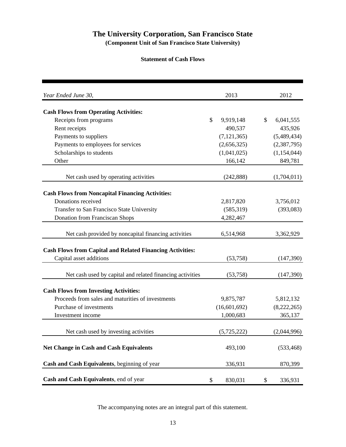## **Statement of Cash Flows**

| Year Ended June 30,                                              |               | 2013          |               | 2012        |
|------------------------------------------------------------------|---------------|---------------|---------------|-------------|
| <b>Cash Flows from Operating Activities:</b>                     |               |               |               |             |
| Receipts from programs                                           | $\mathcal{S}$ | 9,919,148     | $\mathcal{S}$ | 6,041,555   |
| Rent receipts                                                    |               | 490,537       |               | 435,926     |
| Payments to suppliers                                            |               | (7, 121, 365) |               | (5,489,434) |
| Payments to employees for services                               |               | (2,656,325)   |               | (2,387,795) |
| Scholarships to students                                         |               | (1,041,025)   |               | (1,154,044) |
| Other                                                            |               | 166,142       |               | 849,781     |
| Net cash used by operating activities                            |               | (242, 888)    |               | (1,704,011) |
| <b>Cash Flows from Noncapital Financing Activities:</b>          |               |               |               |             |
| Donations received                                               |               | 2,817,820     |               | 3,756,012   |
| Transfer to San Francisco State University                       |               | (585, 319)    |               | (393,083)   |
| <b>Donation from Franciscan Shops</b>                            |               | 4,282,467     |               |             |
|                                                                  |               |               |               |             |
| Net cash provided by noncapital financing activities             |               | 6,514,968     |               | 3,362,929   |
| <b>Cash Flows from Capital and Related Financing Activities:</b> |               |               |               |             |
| Capital asset additions                                          |               | (53,758)      |               | (147, 390)  |
| Net cash used by capital and related financing activities        |               | (53,758)      |               | (147,390)   |
|                                                                  |               |               |               |             |
| <b>Cash Flows from Investing Activities:</b>                     |               |               |               |             |
| Proceeds from sales and maturities of investments                |               | 9,875,787     |               | 5,812,132   |
| Purchase of investments                                          |               | (16,601,692)  |               | (8,222,265) |
| Investment income                                                |               | 1,000,683     |               | 365,137     |
| Net cash used by investing activities                            |               | (5,725,222)   |               | (2,044,996) |
| <b>Net Change in Cash and Cash Equivalents</b>                   |               | 493,100       |               | (533, 468)  |
| Cash and Cash Equivalents, beginning of year                     |               | 336,931       |               | 870,399     |
| Cash and Cash Equivalents, end of year                           | \$            | 830,031       | \$            | 336,931     |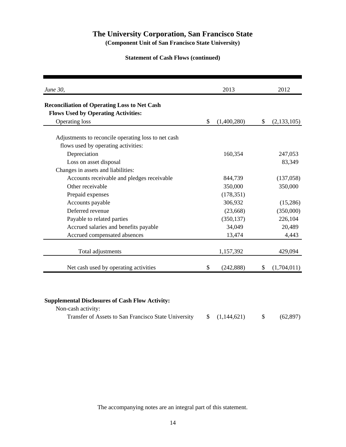## **Statement of Cash Flows (continued)**

| June 30,                                            | 2013              | 2012              |
|-----------------------------------------------------|-------------------|-------------------|
| <b>Reconciliation of Operating Loss to Net Cash</b> |                   |                   |
| <b>Flows Used by Operating Activities:</b>          |                   |                   |
| <b>Operating loss</b>                               | \$<br>(1,400,280) | \$<br>(2,133,105) |
| Adjustments to reconcile operating loss to net cash |                   |                   |
| flows used by operating activities:                 |                   |                   |
| Depreciation                                        | 160,354           | 247,053           |
| Loss on asset disposal                              |                   | 83,349            |
| Changes in assets and liabilities:                  |                   |                   |
| Accounts receivable and pledges receivable          | 844,739           | (137,058)         |
| Other receivable                                    | 350,000           | 350,000           |
| Prepaid expenses                                    | (178, 351)        |                   |
| Accounts payable                                    | 306,932           | (15,286)          |
| Deferred revenue                                    | (23,668)          | (350,000)         |
| Payable to related parties                          | (350, 137)        | 226,104           |
| Accrued salaries and benefits payable               | 34,049            | 20,489            |
| Accrued compensated absences                        | 13,474            | 4,443             |
| Total adjustments                                   | 1,157,392         | 429,094           |
| Net cash used by operating activities               | \$<br>(242, 888)  | \$<br>(1,704,011) |

| Non-cash activity: |  |           |
|--------------------|--|-----------|
|                    |  | (62, 897) |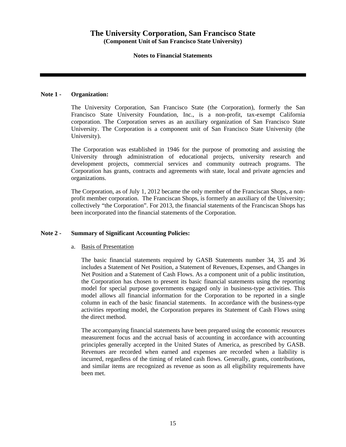## **Notes to Financial Statements**

## **Note 1 - Organization:**

The University Corporation, San Francisco State (the Corporation), formerly the San Francisco State University Foundation, Inc., is a non-profit, tax-exempt California corporation. The Corporation serves as an auxiliary organization of San Francisco State University. The Corporation is a component unit of San Francisco State University (the University).

The Corporation was established in 1946 for the purpose of promoting and assisting the University through administration of educational projects, university research and development projects, commercial services and community outreach programs. The Corporation has grants, contracts and agreements with state, local and private agencies and organizations.

The Corporation, as of July 1, 2012 became the only member of the Franciscan Shops, a nonprofit member corporation. The Franciscan Shops, is formerly an auxiliary of the University; collectively "the Corporation". For 2013, the financial statements of the Franciscan Shops has been incorporated into the financial statements of the Corporation.

## **Note 2 - Summary of Significant Accounting Policies:**

## a. Basis of Presentation

The basic financial statements required by GASB Statements number 34, 35 and 36 includes a Statement of Net Position, a Statement of Revenues, Expenses, and Changes in Net Position and a Statement of Cash Flows. As a component unit of a public institution, the Corporation has chosen to present its basic financial statements using the reporting model for special purpose governments engaged only in business-type activities. This model allows all financial information for the Corporation to be reported in a single column in each of the basic financial statements. In accordance with the business-type activities reporting model, the Corporation prepares its Statement of Cash Flows using the direct method.

The accompanying financial statements have been prepared using the economic resources measurement focus and the accrual basis of accounting in accordance with accounting principles generally accepted in the United States of America, as prescribed by GASB. Revenues are recorded when earned and expenses are recorded when a liability is incurred, regardless of the timing of related cash flows. Generally, grants, contributions, and similar items are recognized as revenue as soon as all eligibility requirements have been met.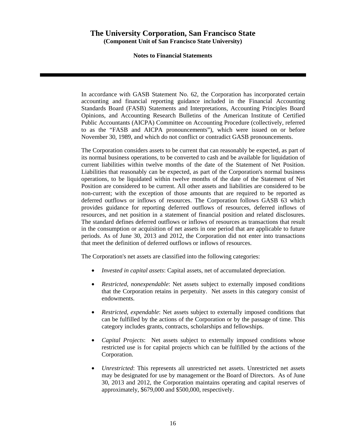## **Notes to Financial Statements**

In accordance with GASB Statement No. 62, the Corporation has incorporated certain accounting and financial reporting guidance included in the Financial Accounting Standards Board (FASB) Statements and Interpretations, Accounting Principles Board Opinions, and Accounting Research Bulletins of the American Institute of Certified Public Accountants (AICPA) Committee on Accounting Procedure (collectively, referred to as the "FASB and AICPA pronouncements"), which were issued on or before November 30, 1989, and which do not conflict or contradict GASB pronouncements.

The Corporation considers assets to be current that can reasonably be expected, as part of its normal business operations, to be converted to cash and be available for liquidation of current liabilities within twelve months of the date of the Statement of Net Position. Liabilities that reasonably can be expected, as part of the Corporation's normal business operations, to be liquidated within twelve months of the date of the Statement of Net Position are considered to be current. All other assets and liabilities are considered to be non-current; with the exception of those amounts that are required to be reported as deferred outflows or inflows of resources. The Corporation follows GASB 63 which provides guidance for reporting deferred outflows of resources, deferred inflows of resources, and net position in a statement of financial position and related disclosures. The standard defines deferred outflows or inflows of resources as transactions that result in the consumption or acquisition of net assets in one period that are applicable to future periods. As of June 30, 2013 and 2012, the Corporation did not enter into transactions that meet the definition of deferred outflows or inflows of resources.

The Corporation's net assets are classified into the following categories:

- *Invested in capital assets*: Capital assets, net of accumulated depreciation.
- *Restricted, nonexpendable*: Net assets subject to externally imposed conditions that the Corporation retains in perpetuity. Net assets in this category consist of endowments.
- *Restricted, expendable*: Net assets subject to externally imposed conditions that can be fulfilled by the actions of the Corporation or by the passage of time. This category includes grants, contracts, scholarships and fellowships.
- *Capital Projects*: Net assets subject to externally imposed conditions whose restricted use is for capital projects which can be fulfilled by the actions of the Corporation.
- *Unrestricted*: This represents all unrestricted net assets. Unrestricted net assets may be designated for use by management or the Board of Directors. As of June 30, 2013 and 2012, the Corporation maintains operating and capital reserves of approximately, \$679,000 and \$500,000, respectively.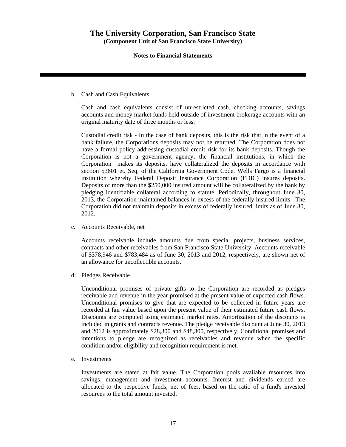## **Notes to Financial Statements**

## b. Cash and Cash Equivalents

Cash and cash equivalents consist of unrestricted cash, checking accounts, savings accounts and money market funds held outside of investment brokerage accounts with an original maturity date of three months or less.

Custodial credit risk - In the case of bank deposits, this is the risk that in the event of a bank failure, the Corporations deposits may not be returned. The Corporation does not have a formal policy addressing custodial credit risk for its bank deposits. Though the Corporation is not a government agency, the financial institutions, in which the Corporation makes its deposits, have collateralized the deposits in accordance with section 53601 et. Seq. of the California Government Code. Wells Fargo is a financial institution whereby Federal Deposit Insurance Corporation (FDIC) insures deposits. Deposits of more than the \$250,000 insured amount will be collateralized by the bank by pledging identifiable collateral according to statute. Periodically, throughout June 30, 2013, the Corporation maintained balances in excess of the federally insured limits. The Corporation did not maintain deposits in excess of federally insured limits as of June 30, 2012.

## c. Accounts Receivable, net

Accounts receivable include amounts due from special projects, business services, contracts and other receivables from San Francisco State University. Accounts receivable of \$378,946 and \$783,484 as of June 30, 2013 and 2012, respectively, are shown net of an allowance for uncollectible accounts.

d. Pledges Receivable

Unconditional promises of private gifts to the Corporation are recorded as pledges receivable and revenue in the year promised at the present value of expected cash flows. Unconditional promises to give that are expected to be collected in future years are recorded at fair value based upon the present value of their estimated future cash flows. Discounts are computed using estimated market rates. Amortization of the discounts is included in grants and contracts revenue. The pledge receivable discount at June 30, 2013 and 2012 is approximately \$28,300 and \$48,300, respectively. Conditional promises and intentions to pledge are recognized as receivables and revenue when the specific condition and/or eligibility and recognition requirement is met.

## e. Investments

Investments are stated at fair value. The Corporation pools available resources into savings, management and investment accounts. Interest and dividends earned are allocated to the respective funds, net of fees, based on the ratio of a fund's invested resources to the total amount invested.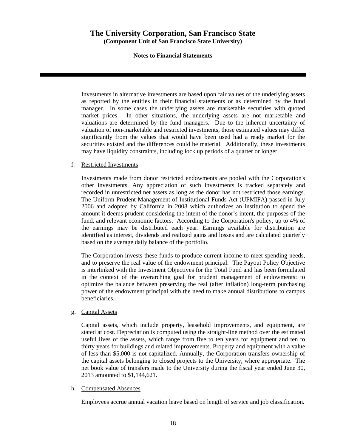## **Notes to Financial Statements**

Investments in alternative investments are based upon fair values of the underlying assets as reported by the entities in their financial statements or as determined by the fund manager. In some cases the underlying assets are marketable securities with quoted market prices. In other situations, the underlying assets are not marketable and valuations are determined by the fund managers. Due to the inherent uncertainty of valuation of non-marketable and restricted investments, those estimated values may differ significantly from the values that would have been used had a ready market for the securities existed and the differences could be material. Additionally, these investments may have liquidity constraints, including lock up periods of a quarter or longer.

## f. Restricted Investments

Investments made from donor restricted endowments are pooled with the Corporation's other investments. Any appreciation of such investments is tracked separately and recorded in unrestricted net assets as long as the donor has not restricted those earnings. The Uniform Prudent Management of Institutional Funds Act (UPMIFA) passed in July 2006 and adopted by California in 2008 which authorizes an institution to spend the amount it deems prudent considering the intent of the donor's intent, the purposes of the fund, and relevant economic factors. According to the Corporation's policy, up to 4% of the earnings may be distributed each year. Earnings available for distribution are identified as interest, dividends and realized gains and losses and are calculated quarterly based on the average daily balance of the portfolio.

The Corporation invests these funds to produce current income to meet spending needs, and to preserve the real value of the endowment principal. The Payout Policy Objective is interlinked with the Investment Objectives for the Total Fund and has been formulated in the context of the overarching goal for prudent management of endowments: to optimize the balance between preserving the real (after inflation) long-term purchasing power of the endowment principal with the need to make annual distributions to campus beneficiaries.

## g. Capital Assets

Capital assets, which include property, leasehold improvements, and equipment, are stated at cost. Depreciation is computed using the straight-line method over the estimated useful lives of the assets, which range from five to ten years for equipment and ten to thirty years for buildings and related improvements. Property and equipment with a value of less than \$5,000 is not capitalized. Annually, the Corporation transfers ownership of the capital assets belonging to closed projects to the University, where appropriate. The net book value of transfers made to the University during the fiscal year ended June 30, 2013 amounted to \$1,144,621.

## h. Compensated Absences

Employees accrue annual vacation leave based on length of service and job classification.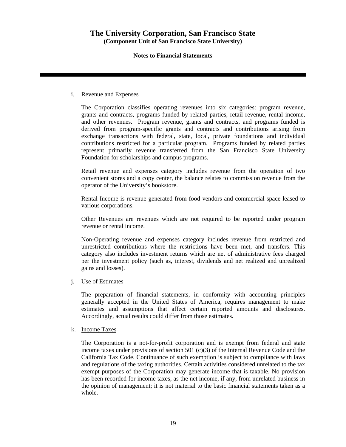## **Notes to Financial Statements**

### i. Revenue and Expenses

The Corporation classifies operating revenues into six categories: program revenue, grants and contracts, programs funded by related parties, retail revenue, rental income, and other revenues. Program revenue, grants and contracts, and programs funded is derived from program-specific grants and contracts and contributions arising from exchange transactions with federal, state, local, private foundations and individual contributions restricted for a particular program. Programs funded by related parties represent primarily revenue transferred from the San Francisco State University Foundation for scholarships and campus programs.

Retail revenue and expenses category includes revenue from the operation of two convenient stores and a copy center, the balance relates to commission revenue from the operator of the University's bookstore.

Rental Income is revenue generated from food vendors and commercial space leased to various corporations.

Other Revenues are revenues which are not required to be reported under program revenue or rental income.

Non-Operating revenue and expenses category includes revenue from restricted and unrestricted contributions where the restrictions have been met, and transfers. This category also includes investment returns which are net of administrative fees charged per the investment policy (such as, interest, dividends and net realized and unrealized gains and losses).

## j. Use of Estimates

The preparation of financial statements, in conformity with accounting principles generally accepted in the United States of America, requires management to make estimates and assumptions that affect certain reported amounts and disclosures. Accordingly, actual results could differ from those estimates.

## k. Income Taxes

The Corporation is a not-for-profit corporation and is exempt from federal and state income taxes under provisions of section 501 (c)(3) of the Internal Revenue Code and the California Tax Code. Continuance of such exemption is subject to compliance with laws and regulations of the taxing authorities. Certain activities considered unrelated to the tax exempt purposes of the Corporation may generate income that is taxable. No provision has been recorded for income taxes, as the net income, if any, from unrelated business in the opinion of management; it is not material to the basic financial statements taken as a whole.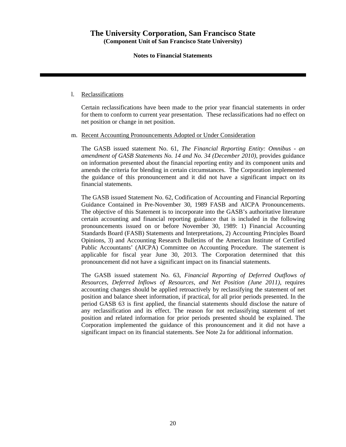## **Notes to Financial Statements**

### l. Reclassifications

Certain reclassifications have been made to the prior year financial statements in order for them to conform to current year presentation. These reclassifications had no effect on net position or change in net position.

### m. Recent Accounting Pronouncements Adopted or Under Consideration

The GASB issued statement No. 61, *The Financial Reporting Entity: Omnibus - an amendment of GASB Statements No. 14 and No. 34 (December 2010)*, provides guidance on information presented about the financial reporting entity and its component units and amends the criteria for blending in certain circumstances. The Corporation implemented the guidance of this pronouncement and it did not have a significant impact on its financial statements.

The GASB issued Statement No. 62, Codification of Accounting and Financial Reporting Guidance Contained in Pre-November 30, 1989 FASB and AICPA Pronouncements. The objective of this Statement is to incorporate into the GASB's authoritative literature certain accounting and financial reporting guidance that is included in the following pronouncements issued on or before November 30, 1989: 1) Financial Accounting Standards Board (FASB) Statements and Interpretations, 2) Accounting Principles Board Opinions, 3) and Accounting Research Bulletins of the American Institute of Certified Public Accountants' (AICPA) Committee on Accounting Procedure. The statement is applicable for fiscal year June 30, 2013. The Corporation determined that this pronouncement did not have a significant impact on its financial statements.

The GASB issued statement No. 63, *Financial Reporting of Deferred Outflows of Resources, Deferred Inflows of Resources, and Net Position (June 2011)*, requires accounting changes should be applied retroactively by reclassifying the statement of net position and balance sheet information, if practical, for all prior periods presented. In the period GASB 63 is first applied, the financial statements should disclose the nature of any reclassification and its effect. The reason for not reclassifying statement of net position and related information for prior periods presented should be explained. The Corporation implemented the guidance of this pronouncement and it did not have a significant impact on its financial statements. See Note 2a for additional information.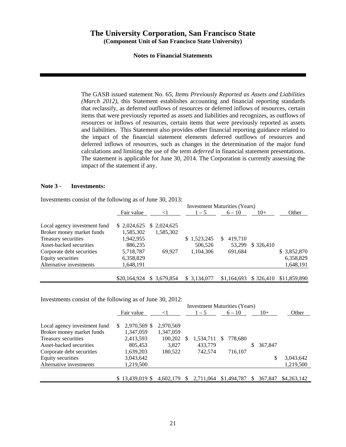## **Notes to Financial Statements**

The GASB issued statement No. 65, *Items Previously Reported as Assets and Liabilities (March 2012)*, this Statement establishes accounting and financial reporting standards that reclassify, as deferred outflows of resources or deferred inflows of resources, certain items that were previously reported as assets and liabilities and recognizes, as outflows of resources or inflows of resources, certain items that were previously reported as assets and liabilities. This Statement also provides other financial reporting guidance related to the impact of the financial statement elements deferred outflows of resources and deferred inflows of resources, such as changes in the determination of the major fund calculations and limiting the use of the term *deferred* in financial statement presentations. The statement is applicable for June 30, 2014. The Corporation is currently assessing the impact of the statement if any.

### **Note 3 - Investments:**

Investments consist of the following as of June 30, 2013:

|                              |              |              |              | <b>Investment Maturities (Years)</b> |            |              |
|------------------------------|--------------|--------------|--------------|--------------------------------------|------------|--------------|
|                              | Fair value   | $\leq$ 1     | $1 - 5$      | $6 - 10$                             | $10+$      | Other        |
| Local agency investment fund | \$2,024,625  | \$ 2,024,625 |              |                                      |            |              |
| Broker money market funds    | 1,585,302    | 1,585,302    |              |                                      |            |              |
| Treasury securities          | 1,942,955    |              | \$1,523,245  | 419.710<br>S.                        |            |              |
| Asset-backed securities      | 886,235      |              | 506,526      | 53.299                               | \$ 326,410 |              |
| Corporate debt securities    | 5,718,787    | 69.927       | 1,104,306    | 691,684                              |            | \$3,852,870  |
| Equity securities            | 6,358,829    |              |              |                                      |            | 6,358,829    |
| Alternative investments      | 1,648,191    |              |              |                                      |            | 1,648,191    |
|                              |              |              |              |                                      |            |              |
|                              | \$20,164,924 | \$ 3.679,854 | \$ 3,134,077 | \$1,164,693                          | \$326.410  | \$11,859,890 |

Investments consist of the following as of June 30, 2012:

|                              |   |                  |           | <b>Investment Maturities (Years)</b> |   |             |              |         |             |
|------------------------------|---|------------------|-----------|--------------------------------------|---|-------------|--------------|---------|-------------|
|                              |   | Fair value       | $\leq$ 1  | $1 - 5$                              |   | $6 - 10$    |              | $10+$   | Other       |
|                              |   |                  |           |                                      |   |             |              |         |             |
| Local agency investment fund | S | 2,970,569 \$     | 2,970,569 |                                      |   |             |              |         |             |
| Broker money market funds    |   | 1,347,059        | 1,347,059 |                                      |   |             |              |         |             |
| Treasury securities          |   | 2,413,593        | 100,202   | 1,534,711                            | S | 778,680     |              |         |             |
| Asset-backed securities      |   | 805,453          | 3,827     | 433,779                              |   |             | S.           | 367,847 |             |
| Corporate debt securities    |   | 1,639,203        | 180,522   | 742,574                              |   | 716,107     |              |         |             |
| Equity securities            |   | 3,043,642        |           |                                      |   |             |              | \$      | 3,043,642   |
| Alternative investments      |   | 1,219,500        |           |                                      |   |             |              |         | 1,219,500   |
|                              |   |                  |           |                                      |   |             |              |         |             |
|                              |   | $$13,439,019$ \$ | 4.602.179 | 2.711.064                            |   | \$1,494,787 | <sup>S</sup> | 367,847 | \$4,263,142 |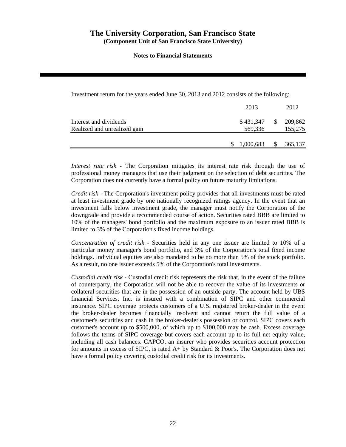## **Notes to Financial Statements**

Investment return for the years ended June 30, 2013 and 2012 consists of the following:

|                                                        | 2013                 | 2012                           |
|--------------------------------------------------------|----------------------|--------------------------------|
| Interest and dividends<br>Realized and unrealized gain | \$431,347<br>569,336 | $\frac{$}{209,862}$<br>155,275 |
|                                                        | 1,000,683            | 365,137                        |

*Interest rate risk* - The Corporation mitigates its interest rate risk through the use of professional money managers that use their judgment on the selection of debt securities. The Corporation does not currently have a formal policy on future maturity limitations.

*Credit risk* - The Corporation's investment policy provides that all investments must be rated at least investment grade by one nationally recognized ratings agency. In the event that an investment falls below investment grade, the manager must notify the Corporation of the downgrade and provide a recommended course of action. Securities rated BBB are limited to 10% of the managers' bond portfolio and the maximum exposure to an issuer rated BBB is limited to 3% of the Corporation's fixed income holdings.

*Concentration of credit risk* - Securities held in any one issuer are limited to 10% of a particular money manager's bond portfolio, and 3% of the Corporation's total fixed income holdings. Individual equities are also mandated to be no more than 5% of the stock portfolio. As a result, no one issuer exceeds 5% of the Corporation's total investments.

*Custodial credit risk* - Custodial credit risk represents the risk that, in the event of the failure of counterparty, the Corporation will not be able to recover the value of its investments or collateral securities that are in the possession of an outside party. The account held by UBS financial Services, Inc. is insured with a combination of SIPC and other commercial insurance. SIPC coverage protects customers of a U.S. registered broker-dealer in the event the broker-dealer becomes financially insolvent and cannot return the full value of a customer's securities and cash in the broker-dealer's possession or control. SIPC covers each customer's account up to \$500,000, of which up to \$100,000 may be cash. Excess coverage follows the terms of SIPC coverage but covers each account up to its full net equity value, including all cash balances. CAPCO, an insurer who provides securities account protection for amounts in excess of SIPC, is rated A+ by Standard & Poor's. The Corporation does not have a formal policy covering custodial credit risk for its investments.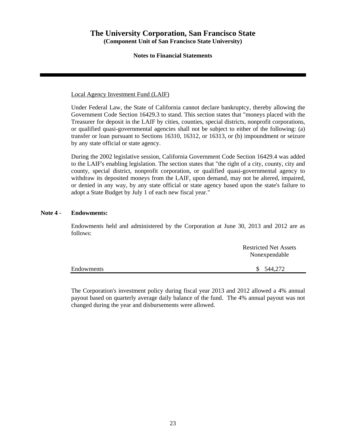## **Notes to Financial Statements**

Local Agency Investment Fund (LAIF)

Under Federal Law, the State of California cannot declare bankruptcy, thereby allowing the Government Code Section 16429.3 to stand. This section states that "moneys placed with the Treasurer for deposit in the LAIF by cities, counties, special districts, nonprofit corporations, or qualified quasi-governmental agencies shall not be subject to either of the following: (a) transfer or loan pursuant to Sections 16310, 16312, or 16313, or (b) impoundment or seizure by any state official or state agency.

During the 2002 legislative session, California Government Code Section 16429.4 was added to the LAIF's enabling legislation. The section states that "the right of a city, county, city and county, special district, nonprofit corporation, or qualified quasi-governmental agency to withdraw its deposited moneys from the LAIF, upon demand, may not be altered, impaired, or denied in any way, by any state official or state agency based upon the state's failure to adopt a State Budget by July 1 of each new fiscal year."

## **Note 4 - Endowments:**

Endowments held and administered by the Corporation at June 30, 2013 and 2012 are as follows:

|            | <b>Restricted Net Assets</b><br>Nonexpendable |
|------------|-----------------------------------------------|
| Endowments | \$ 544,272                                    |

The Corporation's investment policy during fiscal year 2013 and 2012 allowed a 4% annual payout based on quarterly average daily balance of the fund. The 4% annual payout was not changed during the year and disbursements were allowed.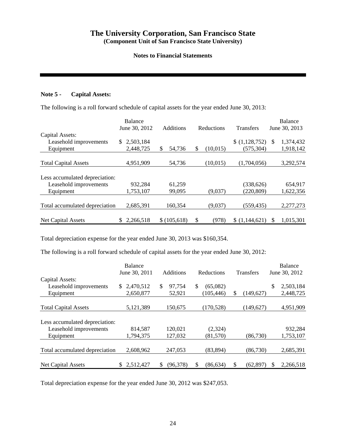## **Notes to Financial Statements**

## **Note 5 - Capital Assets:**

The following is a roll forward schedule of capital assets for the year ended June 30, 2013:

|                                | Balance<br>June 30, 2012 |           |    | Additions<br>Reductions |    |           | <b>Transfers</b> | Balance<br>June 30, 2013 |           |
|--------------------------------|--------------------------|-----------|----|-------------------------|----|-----------|------------------|--------------------------|-----------|
| Capital Assets:                |                          |           |    |                         |    |           |                  |                          |           |
| Leasehold improvements         | S.                       | 2.503.184 |    |                         |    |           | \$(1,128,752)    | S                        | 1,374,432 |
| Equipment                      |                          | 2,448,725 | \$ | 54.736                  | \$ | (10.015)  | (575, 304)       |                          | 1,918,142 |
|                                |                          |           |    |                         |    |           |                  |                          |           |
| <b>Total Capital Assets</b>    |                          | 4,951,909 |    | 54,736                  |    | (10, 015) | (1,704,056)      |                          | 3,292,574 |
|                                |                          |           |    |                         |    |           |                  |                          |           |
| Less accumulated depreciation: |                          |           |    |                         |    |           |                  |                          |           |
| Leasehold improvements         |                          | 932,284   |    | 61,259                  |    |           | (338,626)        |                          | 654,917   |
| Equipment                      |                          | 1,753,107 |    | 99,095                  |    | (9,037)   | (220, 809)       |                          | 1,622,356 |
|                                |                          |           |    |                         |    |           |                  |                          |           |
| Total accumulated depreciation |                          | 2,685,391 |    | 160,354                 |    | (9,037)   | (559, 435)       |                          | 2,277,273 |
|                                |                          |           |    |                         |    |           |                  |                          |           |
| Net Capital Assets             |                          | 2,266,518 |    | \$(105,618)             | \$ | (978)     | \$(1.144.621)    | S                        | 1,015,301 |

Total depreciation expense for the year ended June 30, 2013 was \$160,354.

The following is a roll forward schedule of capital assets for the year ended June 30, 2012:

|                                |    | Balance       |     |                  |     |            |    |                  |    | <b>Balance</b> |  |
|--------------------------------|----|---------------|-----|------------------|-----|------------|----|------------------|----|----------------|--|
|                                |    | June 30, 2011 |     | <b>Additions</b> |     | Reductions |    | <b>Transfers</b> |    | June 30, 2012  |  |
| Capital Assets:                |    |               |     |                  |     |            |    |                  |    |                |  |
| Leasehold improvements         | S. | 2,470,512     | \$. | 97,754           | \$. | (65,082)   |    |                  | \$ | 2,503,184      |  |
| Equipment                      |    | 2,650,877     |     | 52,921           |     | (105, 446) | S  | (149.627)        |    | 2,448,725      |  |
|                                |    |               |     |                  |     |            |    |                  |    |                |  |
| <b>Total Capital Assets</b>    |    | 5,121,389     |     | 150,675          |     | (170, 528) |    | (149,627)        |    | 4,951,909      |  |
| Less accumulated depreciation: |    |               |     |                  |     |            |    |                  |    |                |  |
| Leasehold improvements         |    | 814,587       |     | 120.021          |     | (2,324)    |    |                  |    | 932,284        |  |
| Equipment                      |    | 1,794,375     |     | 127,032          |     | (81,570)   |    | (86.730)         |    | 1,753,107      |  |
| Total accumulated depreciation |    | 2,608,962     |     | 247,053          |     | (83, 894)  |    | (86, 730)        |    | 2,685,391      |  |
| Net Capital Assets             | \$ | 2,512,427     | \$  | (96,378)         | \$  | (86, 634)  | \$ | (62, 897)        | S  | 2,266,518      |  |

Total depreciation expense for the year ended June 30, 2012 was \$247,053.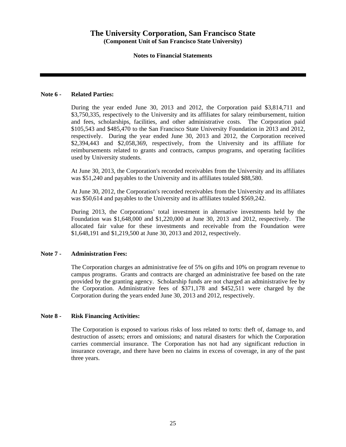## **Notes to Financial Statements**

## **Note 6 - Related Parties:**

During the year ended June 30, 2013 and 2012, the Corporation paid \$3,814,711 and \$3,750,335, respectively to the University and its affiliates for salary reimbursement, tuition and fees, scholarships, facilities, and other administrative costs. The Corporation paid \$105,543 and \$485,470 to the San Francisco State University Foundation in 2013 and 2012, respectively. During the year ended June 30, 2013 and 2012, the Corporation received \$2,394,443 and \$2,058,369, respectively, from the University and its affiliate for reimbursements related to grants and contracts, campus programs, and operating facilities used by University students.

At June 30, 2013, the Corporation's recorded receivables from the University and its affiliates was \$51,240 and payables to the University and its affiliates totaled \$88,580.

At June 30, 2012, the Corporation's recorded receivables from the University and its affiliates was \$50,614 and payables to the University and its affiliates totaled \$569,242.

During 2013, the Corporations' total investment in alternative investments held by the Foundation was \$1,648,000 and \$1,220,000 at June 30, 2013 and 2012, respectively. The allocated fair value for these investments and receivable from the Foundation were \$1,648,191 and \$1,219,500 at June 30, 2013 and 2012, respectively.

## **Note 7 - Administration Fees:**

The Corporation charges an administrative fee of 5% on gifts and 10% on program revenue to campus programs. Grants and contracts are charged an administrative fee based on the rate provided by the granting agency. Scholarship funds are not charged an administrative fee by the Corporation. Administrative fees of \$371,178 and \$452,511 were charged by the Corporation during the years ended June 30, 2013 and 2012, respectively.

## **Note 8 - Risk Financing Activities:**

The Corporation is exposed to various risks of loss related to torts: theft of, damage to, and destruction of assets; errors and omissions; and natural disasters for which the Corporation carries commercial insurance. The Corporation has not had any significant reduction in insurance coverage, and there have been no claims in excess of coverage, in any of the past three years.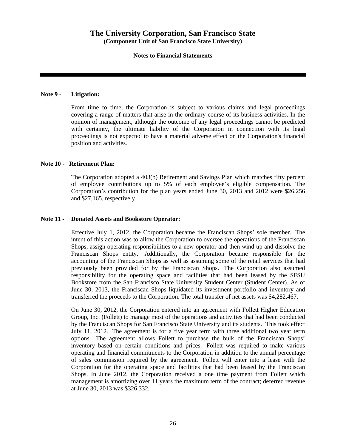## **Notes to Financial Statements**

## **Note 9 - Litigation:**

From time to time, the Corporation is subject to various claims and legal proceedings covering a range of matters that arise in the ordinary course of its business activities. In the opinion of management, although the outcome of any legal proceedings cannot be predicted with certainty, the ultimate liability of the Corporation in connection with its legal proceedings is not expected to have a material adverse effect on the Corporation's financial position and activities.

### **Note 10 - Retirement Plan:**

The Corporation adopted a 403(b) Retirement and Savings Plan which matches fifty percent of employee contributions up to 5% of each employee's eligible compensation. The Corporation's contribution for the plan years ended June 30, 2013 and 2012 were \$26,256 and \$27,165, respectively.

### **Note 11 - Donated Assets and Bookstore Operator:**

Effective July 1, 2012, the Corporation became the Franciscan Shops' sole member. The intent of this action was to allow the Corporation to oversee the operations of the Franciscan Shops, assign operating responsibilities to a new operator and then wind up and dissolve the Franciscan Shops entity. Additionally, the Corporation became responsible for the accounting of the Franciscan Shops as well as assuming some of the retail services that had previously been provided for by the Franciscan Shops. The Corporation also assumed responsibility for the operating space and facilities that had been leased by the SFSU Bookstore from the San Francisco State University Student Center (Student Center). As of June 30, 2013, the Franciscan Shops liquidated its investment portfolio and inventory and transferred the proceeds to the Corporation. The total transfer of net assets was \$4,282,467.

On June 30, 2012, the Corporation entered into an agreement with Follett Higher Education Group, Inc. (Follett) to manage most of the operations and activities that had been conducted by the Franciscan Shops for San Francisco State University and its students. This took effect July 11, 2012. The agreement is for a five year term with three additional two year term options. The agreement allows Follett to purchase the bulk of the Franciscan Shops' inventory based on certain conditions and prices. Follett was required to make various operating and financial commitments to the Corporation in addition to the annual percentage of sales commission required by the agreement. Follett will enter into a lease with the Corporation for the operating space and facilities that had been leased by the Franciscan Shops. In June 2012, the Corporation received a one time payment from Follett which management is amortizing over 11 years the maximum term of the contract; deferred revenue at June 30, 2013 was \$326,332.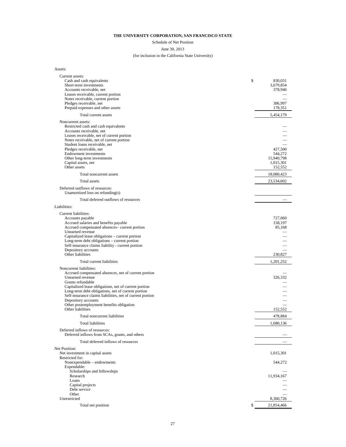## Schedule of Net Position

June 30, 2013

## (for inclusion in the California State University)

| Assets:                                                                                                                                                                                                                                                                                                                                           |                                                             |
|---------------------------------------------------------------------------------------------------------------------------------------------------------------------------------------------------------------------------------------------------------------------------------------------------------------------------------------------------|-------------------------------------------------------------|
| Current assets:<br>Cash and cash equivalents<br>Short-term investments<br>Accounts receivable, net<br>Leases receivable, current portion<br>Notes receivable, current portion<br>Pledges receivable, net<br>Prepaid expenses and other assets                                                                                                     | \$<br>830,031<br>3,679,854<br>378,946<br>386,997<br>178,351 |
| Total current assets                                                                                                                                                                                                                                                                                                                              | 5,454,179                                                   |
| Noncurrent assets:<br>Restricted cash and cash equivalents<br>Accounts receivable, net<br>Leases receivable, net of current portion<br>Notes receivable, net of current portion<br>Student loans receivable, net<br>Pledges receivable, net<br><b>Endowment</b> investments<br>Other long-term investments<br>Capital assets, net<br>Other assets | 427,500<br>544,272<br>15,940,798<br>1,015,301<br>152,552    |
| Total noncurrent assets                                                                                                                                                                                                                                                                                                                           | 18,080,423                                                  |
| Total assets<br>Deferred outflows of resources:<br>Unamortized loss on refunding(s)                                                                                                                                                                                                                                                               | 23,534,602                                                  |
| Total deferred outflows of resources                                                                                                                                                                                                                                                                                                              |                                                             |
| Liabilities:                                                                                                                                                                                                                                                                                                                                      |                                                             |
| Current liabilities:<br>Accounts payable<br>Accrued salaries and benefits payable<br>Accrued compensated absences- current portion<br>Unearned revenue<br>Capitalized lease obligations - current portion                                                                                                                                         | 727,060<br>158,197<br>85,168                                |
| Long-term debt obligations - current portion<br>Self-insurance claims liability - current portion<br>Depository accounts                                                                                                                                                                                                                          |                                                             |
| Other liabilities                                                                                                                                                                                                                                                                                                                                 | 230,827                                                     |
| Total current liabilities                                                                                                                                                                                                                                                                                                                         | 1,201,252                                                   |
| Noncurrent liabilities:<br>Accrued compensated absences, net of current portion<br>Unearned revenue<br>Grants refundable<br>Capitalized lease obligations, net of current portion<br>Long-term debt obligations, net of current portion                                                                                                           | 326,332                                                     |
| Self-insurance claims liabilities, net of current portion<br>Depository accounts<br>Other postemployment benefits obligation                                                                                                                                                                                                                      |                                                             |
| Other liabilities                                                                                                                                                                                                                                                                                                                                 | 152,552                                                     |
| Total noncurrent liabilities                                                                                                                                                                                                                                                                                                                      | 478,884                                                     |
| <b>Total liabilities</b>                                                                                                                                                                                                                                                                                                                          | 1,680,136                                                   |
| Deferred inflows of resources:<br>Deferred inflows from SCAs, grants, and others                                                                                                                                                                                                                                                                  |                                                             |
| Total deferred inflows of resources                                                                                                                                                                                                                                                                                                               |                                                             |
| Net Position:<br>Net investment in capital assets                                                                                                                                                                                                                                                                                                 | 1,015,301                                                   |
| Restricted for:<br>Nonexpendable - endowments                                                                                                                                                                                                                                                                                                     | 544,272                                                     |
| Expendable:<br>Scholarships and fellowships<br>Research<br>Loans<br>Capital projects<br>Debt service                                                                                                                                                                                                                                              | 11,934,167                                                  |
| Other<br>Unrestricted                                                                                                                                                                                                                                                                                                                             | 8,360,726                                                   |
| Total net position                                                                                                                                                                                                                                                                                                                                | \$<br>21,854,466                                            |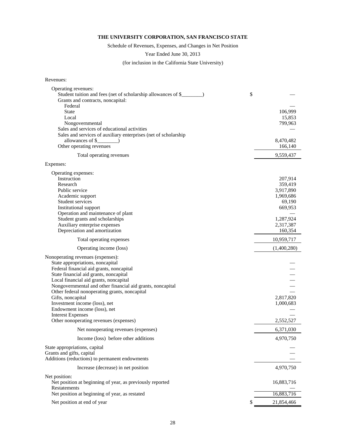Schedule of Revenues, Expenses, and Changes in Net Position

Year Ended June 30, 2013

(for inclusion in the California State University)

| Revenues:                                                                                                                                                                                                                                                                                                                                                                                                                                                                        |                                                                                                        |
|----------------------------------------------------------------------------------------------------------------------------------------------------------------------------------------------------------------------------------------------------------------------------------------------------------------------------------------------------------------------------------------------------------------------------------------------------------------------------------|--------------------------------------------------------------------------------------------------------|
| Operating revenues:<br>Student tuition and fees (net of scholarship allowances of \$<br>Grants and contracts, noncapital:<br>Federal<br><b>State</b><br>Local<br>Nongovernmental<br>Sales and services of educational activities                                                                                                                                                                                                                                                 | \$<br>106,999<br>15,853<br>799,963                                                                     |
| Sales and services of auxiliary enterprises (net of scholarship<br>allowances of \$                                                                                                                                                                                                                                                                                                                                                                                              | 8,470,482                                                                                              |
| Other operating revenues                                                                                                                                                                                                                                                                                                                                                                                                                                                         | 166,140                                                                                                |
| Total operating revenues                                                                                                                                                                                                                                                                                                                                                                                                                                                         | 9,559,437                                                                                              |
| Expenses:                                                                                                                                                                                                                                                                                                                                                                                                                                                                        |                                                                                                        |
| Operating expenses:<br>Instruction<br>Research<br>Public service<br>Academic support<br>Student services<br>Institutional support<br>Operation and maintenance of plant<br>Student grants and scholarships<br>Auxiliary enterprise expenses<br>Depreciation and amortization                                                                                                                                                                                                     | 207,914<br>359,419<br>3,917,890<br>1,969,686<br>69,190<br>669,953<br>1,287,924<br>2,317,387<br>160,354 |
| Total operating expenses                                                                                                                                                                                                                                                                                                                                                                                                                                                         | 10,959,717                                                                                             |
| Operating income (loss)                                                                                                                                                                                                                                                                                                                                                                                                                                                          | (1,400,280)                                                                                            |
| Nonoperating revenues (expenses):<br>State appropriations, noncapital<br>Federal financial aid grants, noncapital<br>State financial aid grants, noncapital<br>Local financial aid grants, noncapital<br>Nongovernmental and other financial aid grants, noncapital<br>Other federal nonoperating grants, noncapital<br>Gifts, noncapital<br>Investment income (loss), net<br>Endowment income (loss), net<br><b>Interest Expenses</b><br>Other nonoperating revenues (expenses) | 2,817,820<br>1,000,683<br>2,552,527                                                                    |
|                                                                                                                                                                                                                                                                                                                                                                                                                                                                                  | 6,371,030                                                                                              |
| Net nonoperating revenues (expenses)                                                                                                                                                                                                                                                                                                                                                                                                                                             |                                                                                                        |
| Income (loss) before other additions<br>State appropriations, capital<br>Grants and gifts, capital<br>Additions (reductions) to permanent endowments                                                                                                                                                                                                                                                                                                                             | 4,970,750                                                                                              |
| Increase (decrease) in net position                                                                                                                                                                                                                                                                                                                                                                                                                                              | 4,970,750                                                                                              |
| Net position:<br>Net position at beginning of year, as previously reported<br>Restatements                                                                                                                                                                                                                                                                                                                                                                                       | 16,883,716                                                                                             |
| Net position at beginning of year, as restated                                                                                                                                                                                                                                                                                                                                                                                                                                   | 16,883,716                                                                                             |
| Net position at end of year                                                                                                                                                                                                                                                                                                                                                                                                                                                      | \$<br>21,854,466                                                                                       |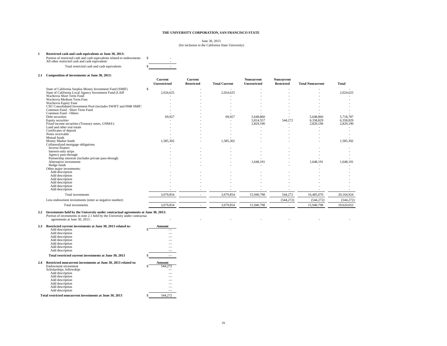#### June 30, 2013 (for inclusion in the California State University)

#### **1 Restricted cash and cash equivalents at June 30, 2013:**

Portion of restricted cash and cash equivalents related to endowments \$<br>All other restricted cash and cash equivalents

Total restricted cash and cash equivalents \$ -

#### **2.1 Composition of investments at June 30, 2013:**

| Composition of investments at June 50, 2015:                    |                         |                              |                      |                            |                                 |                         |              |
|-----------------------------------------------------------------|-------------------------|------------------------------|----------------------|----------------------------|---------------------------------|-------------------------|--------------|
|                                                                 | Current<br>Unrestricted | Current<br><b>Restricted</b> | <b>Total Current</b> | Noncurrent<br>Unrestricted | Noncurrent<br><b>Restricted</b> | <b>Total Noncurrent</b> | <b>Total</b> |
|                                                                 |                         |                              |                      |                            |                                 |                         |              |
| \$<br>State of California Surplus Money Investment Fund (SMIF)  |                         |                              |                      |                            |                                 |                         |              |
| State of California Local Agency Investment Fund (LAIF          | 2,024,625               |                              | 2,024,625            |                            |                                 |                         | 2,024,625    |
| Wachovia Short Term Fund                                        |                         |                              |                      |                            |                                 |                         |              |
| Wachovia Medium Term Func                                       |                         |                              |                      |                            |                                 |                         |              |
| Wachovia Equity Fund                                            |                         |                              |                      |                            |                                 |                         |              |
| CSU Consolidated Investment Pool (includes SWIFT and 0948 SMIF) |                         |                              |                      |                            |                                 |                         |              |
| Common Fund - Short Term Fund                                   |                         |                              |                      |                            |                                 |                         |              |
| Common Fund - Others                                            |                         |                              |                      |                            |                                 |                         |              |
| Debt securities                                                 | 69,927                  |                              | 69,927               | 5,648,860                  |                                 | 5,648,860               | 5,718,787    |
| Equity securities                                               |                         |                              |                      | 5,814,557                  | 544,272                         | 6,358,829               | 6,358,829    |
| Fixed income securities (Treasury notes, GNMA's)                |                         |                              |                      | 2,829,190                  |                                 | 2,829,190               | 2,829,190    |
| Land and other real estate                                      |                         |                              |                      |                            |                                 |                         |              |
| Certificates of deposit                                         |                         |                              |                      |                            |                                 |                         |              |
| Notes receivable                                                |                         |                              |                      |                            |                                 |                         |              |
| Mutual funds                                                    |                         |                              |                      |                            |                                 |                         |              |
| Money Market funds                                              | 1,585,302               |                              | 1,585,302            |                            |                                 |                         | 1,585,302    |
| Collateralized mortgage obligations                             |                         |                              |                      |                            |                                 |                         |              |
| Inverse floaters                                                |                         |                              |                      |                            |                                 |                         |              |
| Interest-only strips                                            |                         |                              |                      |                            |                                 |                         |              |
| Agency pass-through                                             |                         |                              |                      |                            |                                 |                         |              |
| Partnership interests (includes private pass-through)           |                         |                              |                      |                            |                                 |                         |              |
| Alternative investments                                         |                         |                              |                      | 1,648,191                  |                                 | 1,648,191               | 1,648,191    |
| Hedge funds                                                     |                         |                              |                      |                            |                                 |                         |              |
| Other major investments:                                        |                         |                              |                      |                            |                                 |                         |              |
| Add description                                                 |                         |                              |                      |                            |                                 |                         |              |
| Add description                                                 |                         |                              |                      |                            |                                 |                         |              |
| Add description                                                 |                         |                              |                      |                            |                                 |                         |              |
| Add description                                                 |                         |                              |                      |                            |                                 |                         |              |
| Add description                                                 |                         |                              |                      |                            |                                 |                         |              |
| Add description                                                 |                         |                              |                      |                            |                                 |                         |              |
| Total investments                                               | 3,679,854               | $\sim$                       | 3,679,854            | 15,940,798                 | 544,272                         | 16,485,070              | 20,164,924   |
| Less endowment investments (enter as negative number)           |                         |                              |                      |                            | (544, 272)                      | (544, 272)              | (544, 272)   |
| Total investments                                               | 3.679.854               |                              | 3.679.854            | 15,940,798                 | $\overline{\phantom{a}}$        | 15,940,798              | 19.620.652   |

2.2 Investments held by the University under contractual agreements at June 30, 2013:<br>Portion of investments in note 2.1 held by the University under contractua<br>agreements at June 30, 2013 : **2.3 Restricted current investments at June 30, 2013 related to: Amount** Add description **Add description** 

|     | Add description                                                |         |
|-----|----------------------------------------------------------------|---------|
|     | Add description                                                |         |
|     | Add description                                                |         |
|     | Add description                                                |         |
|     | Add description                                                |         |
|     | Add description                                                |         |
|     | Total restricted current investments at June 30, 2013          |         |
| 2.4 | Restricted noncurrent investments at June 30, 2013 related to: | Amount  |
|     | Endowment investment                                           | 544.272 |
|     | Scholarships, fellowships                                      |         |
|     | Add description                                                |         |
|     | Add description                                                |         |
|     | Add description                                                |         |
|     | Add description                                                |         |
|     | Add description                                                |         |
|     | Add description                                                |         |
|     | Total restricted noncurrent investments at June 30, 2013       | 544,272 |
|     |                                                                |         |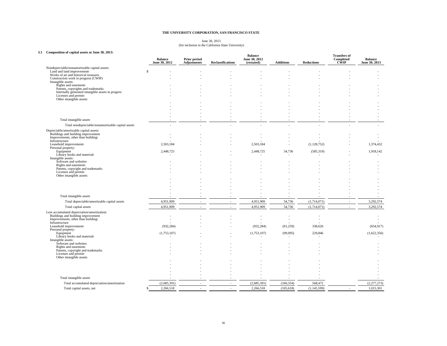#### June 30, 2013 (for inclusion in the California State University)

#### **3.1 Composition of capital assets at June 30, 2013:**

| Composition of capital assets at June 30, 2013:                                          | <b>Balance</b><br>June 30, 2012 | Prior period<br><b>Adjustments</b> | <b>Reclassifications</b> | <b>Balance</b><br>June 30, 2012<br>(restated) | <b>Additions</b> | <b>Reductions</b> | <b>Transfers of</b><br>Completed<br>CŴIP | <b>Balance</b><br>June 30, 2013 |
|------------------------------------------------------------------------------------------|---------------------------------|------------------------------------|--------------------------|-----------------------------------------------|------------------|-------------------|------------------------------------------|---------------------------------|
| Nondepreciable/nonamortizable capital assets:                                            |                                 |                                    |                          |                                               |                  |                   |                                          |                                 |
| Land and land improvements<br>Works of art and historical treasures                      |                                 |                                    |                          |                                               |                  |                   |                                          |                                 |
| Construction work in progress (CWIP)                                                     |                                 |                                    |                          |                                               |                  |                   |                                          |                                 |
| Intangible assets:                                                                       |                                 |                                    |                          |                                               |                  |                   |                                          |                                 |
| Rights and easements                                                                     |                                 |                                    |                          |                                               |                  |                   |                                          |                                 |
| Patents, copyrights and trademarks<br>Internally generated intangible assets in progress |                                 |                                    |                          |                                               |                  |                   |                                          |                                 |
| Licenses and permits                                                                     |                                 |                                    |                          |                                               |                  |                   |                                          |                                 |
| Other intangible assets:                                                                 |                                 |                                    |                          |                                               |                  |                   |                                          |                                 |
|                                                                                          |                                 |                                    |                          |                                               |                  |                   |                                          |                                 |
|                                                                                          |                                 |                                    |                          |                                               |                  |                   |                                          |                                 |
|                                                                                          |                                 |                                    |                          |                                               |                  |                   |                                          |                                 |
| Total intangible assets                                                                  |                                 |                                    |                          |                                               |                  |                   |                                          |                                 |
| Total nondepreciable/nonamortizable capital assets                                       |                                 |                                    |                          |                                               |                  |                   |                                          |                                 |
|                                                                                          |                                 |                                    |                          |                                               |                  |                   |                                          |                                 |
| Depreciable/amortizable capital assets:<br>Buildings and building improvement            |                                 |                                    |                          |                                               |                  |                   |                                          |                                 |
| Improvements, other than buildings                                                       |                                 |                                    |                          |                                               |                  |                   |                                          |                                 |
| Infrastructure                                                                           |                                 |                                    |                          |                                               |                  |                   |                                          |                                 |
| Leasehold improvements<br>Personal property:                                             | 2,503,184                       |                                    |                          | 2,503,184                                     |                  | (1, 128, 752)     |                                          | 1,374,432                       |
| Equipment                                                                                | 2,448,725                       |                                    |                          | 2,448,725                                     | 54,736           | (585, 319)        |                                          | 1,918,142                       |
| Library books and materials                                                              |                                 |                                    |                          |                                               |                  |                   |                                          |                                 |
| Intangible assets:<br>Software and websites                                              |                                 |                                    |                          |                                               |                  |                   |                                          |                                 |
| Rights and easements                                                                     |                                 |                                    |                          |                                               |                  |                   |                                          |                                 |
| Patents, copyright and trademarks                                                        |                                 |                                    |                          |                                               |                  |                   |                                          |                                 |
| Licenses and permits<br>Other intangible assets:                                         |                                 |                                    |                          |                                               |                  |                   |                                          |                                 |
|                                                                                          |                                 |                                    |                          |                                               |                  |                   |                                          |                                 |
|                                                                                          |                                 |                                    |                          |                                               |                  |                   |                                          |                                 |
|                                                                                          |                                 |                                    |                          |                                               |                  |                   |                                          |                                 |
|                                                                                          |                                 |                                    |                          |                                               |                  |                   |                                          |                                 |
| Total intangible assets                                                                  |                                 |                                    |                          |                                               |                  |                   |                                          |                                 |
| Total depreciable/amortizable capital assets                                             | 4,951,909                       |                                    | $\overline{a}$           | 4,951,909                                     | 54,736           | (1,714,071)       |                                          | 3,292,574                       |
| Total capital assets                                                                     | 4,951,909                       | $\overline{a}$                     | $\sim$                   | 4,951,909                                     | 54,736           | (1,714,071)       | $\sim$                                   | 3,292,574                       |
| Less accumulated depreciation/amortization:                                              |                                 |                                    |                          |                                               |                  |                   |                                          |                                 |
| Buildings and building improvement                                                       |                                 |                                    |                          |                                               |                  |                   |                                          |                                 |
| Improvements, other than buildings<br>Infrastructure                                     |                                 |                                    |                          |                                               |                  |                   |                                          |                                 |
| Leasehold improvements                                                                   | (932, 284)                      |                                    |                          | (932, 284)                                    | (61,259)         | 338,626           |                                          | (654, 917)                      |
| Personal property:                                                                       |                                 |                                    |                          |                                               |                  |                   |                                          |                                 |
| Equipment<br>Library books and materials                                                 | (1,753,107)                     |                                    |                          | (1,753,107)                                   | (99,095)         | 229,846           |                                          | (1,622,356)                     |
| Intangible assets:                                                                       |                                 |                                    |                          |                                               |                  |                   |                                          |                                 |
| Software and websites                                                                    |                                 |                                    |                          |                                               |                  |                   |                                          |                                 |
| Rights and easements<br>Patents, copyright and trademarks                                |                                 |                                    |                          |                                               |                  |                   |                                          |                                 |
| Licenses and permits                                                                     |                                 |                                    |                          |                                               |                  |                   |                                          |                                 |
| Other intangible assets:                                                                 |                                 |                                    |                          |                                               |                  |                   |                                          |                                 |
|                                                                                          |                                 |                                    |                          |                                               |                  |                   |                                          |                                 |
|                                                                                          |                                 |                                    |                          |                                               |                  |                   |                                          |                                 |
|                                                                                          |                                 |                                    |                          |                                               |                  |                   |                                          |                                 |
| Total intangible assets                                                                  |                                 |                                    |                          |                                               |                  |                   |                                          |                                 |
|                                                                                          |                                 |                                    |                          |                                               |                  |                   |                                          |                                 |
| Total accumulated depreciation/amortization                                              | (2,685,391)                     |                                    |                          | (2,685,391)                                   | (160, 354)       | 568,472           |                                          | (2,277,273)                     |
| Total capital assets, net                                                                | 2,266,518                       | $\sim$                             |                          | 2,266,518                                     | (105, 618)       | (1, 145, 599)     |                                          | 1,015,301                       |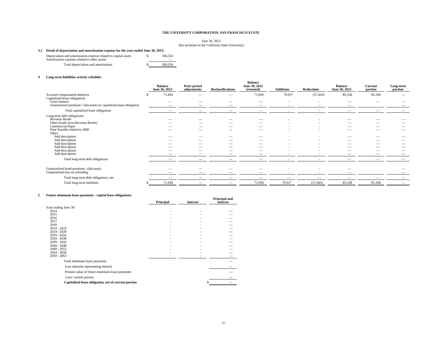June 30, 2013 (for inclusion in the California State University)

#### **3.2 Detail of depreciation and amortization expense for the year ended June 30, 2013:**

| Depreciation and amortization expense related to capital assets<br>Amortization expense related to other assets | 160,354 |
|-----------------------------------------------------------------------------------------------------------------|---------|
| Total depreciation and amortization                                                                             | 160.354 |

#### **4 Long-term liabilities activity schedule:**

|                                                                        | <b>Balance</b><br>June 30, 2012 | Prior period<br>adjustments | <b>Reclassifications</b> | <b>Balance</b><br>June 30, 2012<br>(restated) | <b>Additions</b>         | <b>Reductions</b>        | <b>Balance</b><br>June 30, 2013 | Current<br>portion                                   | Long-term<br>portion |
|------------------------------------------------------------------------|---------------------------------|-----------------------------|--------------------------|-----------------------------------------------|--------------------------|--------------------------|---------------------------------|------------------------------------------------------|----------------------|
| Accrued compensated absences                                           | 71,694                          |                             |                          | 71,694                                        | 70,917                   | (57, 443)                | 85,168                          | 85,168                                               | --                   |
| Capitalized lease obligations<br>Gross balance                         |                                 |                             |                          |                                               |                          |                          |                                 |                                                      |                      |
| Unamortized premium / (discount) on capitalized lease obligation       |                                 |                             |                          | __                                            |                          |                          |                                 |                                                      |                      |
| Total capitalized lease obligations                                    |                                 |                             |                          |                                               | $\overline{\phantom{a}}$ | $\overline{\phantom{a}}$ |                                 | $\overline{\phantom{a}}$                             |                      |
| Long-term debt obligations:                                            |                                 |                             |                          |                                               |                          |                          |                                 |                                                      |                      |
| Revenue Bonds                                                          |                                 |                             |                          |                                               |                          |                          |                                 |                                                      |                      |
| Other bonds (non-Revenue Bonds)                                        |                                 |                             |                          | __                                            |                          |                          |                                 |                                                      |                      |
| Commercial Paper                                                       |                                 |                             |                          | $-$                                           |                          |                          | __                              | $\overline{\phantom{a}}$                             |                      |
| Note Payable related to SRB                                            |                                 | $\overline{\phantom{a}}$    |                          | $\overline{\phantom{m}}$                      |                          |                          | __                              |                                                      | __                   |
| Other:<br>Add description                                              |                                 |                             |                          |                                               |                          |                          |                                 |                                                      |                      |
|                                                                        |                                 |                             |                          |                                               |                          |                          |                                 |                                                      |                      |
| Add description<br>Add description                                     |                                 |                             |                          | __                                            |                          |                          | _<br>_                          | $\overline{\phantom{a}}$<br>$\overline{\phantom{a}}$ |                      |
| Add description                                                        |                                 |                             |                          |                                               |                          |                          |                                 | $\overline{\phantom{a}}$                             |                      |
| Add description                                                        |                                 |                             | $\overline{\phantom{a}}$ |                                               |                          |                          | -                               |                                                      |                      |
| Add description                                                        | $\overline{\phantom{a}}$        | $\overline{\phantom{a}}$    |                          | $\overline{\phantom{a}}$                      |                          |                          |                                 | $\overline{\phantom{a}}$                             |                      |
| Total long-term debt obligations                                       |                                 |                             |                          |                                               |                          |                          |                                 |                                                      |                      |
| Unamortized bond premium / (discount)<br>Unamortized loss on refunding |                                 |                             |                          |                                               |                          |                          |                                 |                                                      |                      |
|                                                                        |                                 |                             |                          |                                               |                          |                          |                                 |                                                      |                      |
| Total long-term debt obligations, net                                  |                                 |                             |                          |                                               |                          |                          |                                 |                                                      |                      |
| Total long-term liabilities                                            | 71,694                          |                             | __                       | 71,694                                        | 70,917                   | (57, 443)                | 85,168                          | 85,168                                               |                      |
|                                                                        |                                 |                             |                          |                                               |                          |                          |                                 |                                                      |                      |

#### **5 Future minimum lease payments - capital lease obligations:**

| т иште пиппинин казе раушена - сартан казе обиданонз. |           |                 | <b>Principal and</b> |
|-------------------------------------------------------|-----------|-----------------|----------------------|
|                                                       | Principal | <b>Interest</b> | <b>Interest</b>      |
| Year ending June 30:                                  |           |                 |                      |
| 2014                                                  | ۰         |                 |                      |
| 2015                                                  |           |                 |                      |
| 2016                                                  |           |                 |                      |
| 2017                                                  |           |                 |                      |
| 2018                                                  |           |                 |                      |
| $2019 - 2023$                                         |           |                 |                      |
| $2024 - 2028$                                         |           |                 |                      |
| $2029 - 2033$<br>$2034 - 2038$                        |           |                 |                      |
| $2039 - 2043$                                         |           |                 |                      |
| $2044 - 2048$                                         |           |                 |                      |
| $2049 - 2053$                                         |           |                 |                      |
| $2054 - 2058$                                         |           |                 |                      |
| $2059 - 2063$                                         |           |                 |                      |
| Total minimum lease payments                          |           |                 |                      |
| Less amounts representing interest                    |           |                 |                      |
| Present value of future minimum lease payments        |           |                 |                      |
| Less: current portion                                 |           |                 |                      |
| Capitalized lease obligation, net of current portion  |           |                 |                      |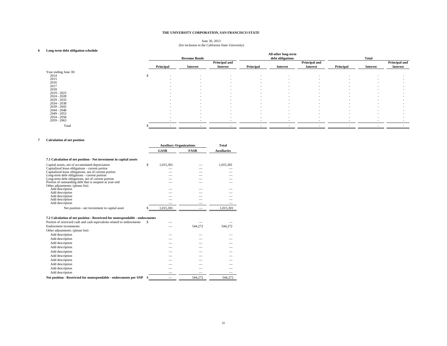#### June 30, 2013 (for inclusion in the California State University)

#### **6 Long-term debt obligation schedule**

|                      |                          | <b>Revenue Bonds</b>     |                          |                          | All other long-term<br>debt obligations |                          | <b>Total</b>             |                 |                          |
|----------------------|--------------------------|--------------------------|--------------------------|--------------------------|-----------------------------------------|--------------------------|--------------------------|-----------------|--------------------------|
|                      |                          |                          | Principal and            |                          |                                         | Principal and            |                          |                 | Principal and            |
|                      | Principal                | <b>Interest</b>          | <b>Interest</b>          | Principal                | <b>Interest</b>                         | <b>Interest</b>          | Principal                | <b>Interest</b> | <b>Interest</b>          |
| Year ending June 30: |                          |                          |                          |                          |                                         |                          |                          |                 |                          |
| 2014                 | $\overline{\phantom{a}}$ | $\sim$                   | ٠                        | ٠                        | $\overline{\phantom{a}}$                |                          |                          |                 |                          |
| 2015                 | -                        | $\sim$                   | ٠                        | $\overline{\phantom{a}}$ | $\overline{\phantom{a}}$                |                          | $\sim$                   |                 |                          |
| 2016                 |                          | $\overline{\phantom{a}}$ | $\overline{\phantom{0}}$ | ۰                        | $\overline{\phantom{a}}$                |                          |                          |                 |                          |
| 2017                 | -                        | $\sim$                   | $\overline{\phantom{a}}$ | $\overline{\phantom{a}}$ | $\overline{\phantom{a}}$                |                          | $\overline{a}$           |                 | -                        |
| 2018                 | -                        | $\sim$                   | $\overline{\phantom{0}}$ | $\overline{\phantom{a}}$ | $\overline{\phantom{a}}$                | $\overline{\phantom{a}}$ | $\sim$                   | -               |                          |
| 2019 - 2023          | -                        | $\sim$                   | $\overline{\phantom{a}}$ | $\sim$                   | $\overline{\phantom{a}}$                |                          | $\overline{\phantom{a}}$ |                 |                          |
| $2024 - 2028$        | -                        | $\sim$                   | $\overline{\phantom{0}}$ | $\overline{\phantom{a}}$ | $\overline{\phantom{a}}$                |                          | $\sim$                   |                 |                          |
| $2029 - 2033$        | -                        | $\sim$                   |                          | $\overline{\phantom{a}}$ | $\overline{\phantom{a}}$                |                          | $\overline{\phantom{a}}$ |                 |                          |
| 2034 - 2038          |                          | $\sim$                   | $\overline{\phantom{a}}$ | $\overline{\phantom{a}}$ | $\overline{\phantom{a}}$                |                          | $\overline{\phantom{a}}$ |                 |                          |
| $2039 - 2043$        | -                        | $\sim$                   | $\overline{\phantom{a}}$ | $\overline{\phantom{a}}$ | $\overline{\phantom{a}}$                |                          | $\sim$                   |                 |                          |
| $2044 - 2048$        | $\sim$                   | $\sim$                   | $\overline{\phantom{a}}$ | $\sim$                   | $\overline{\phantom{a}}$                | $\overline{\phantom{a}}$ | $\sim$                   | -               |                          |
| $2049 - 2053$        | $\sim$                   | $\sim$                   | $\overline{\phantom{0}}$ | $\overline{\phantom{a}}$ | $\overline{\phantom{a}}$                | $\overline{\phantom{a}}$ |                          | -               |                          |
| $2054 - 2058$        | $\sim$                   | $\sim$                   | $\overline{\phantom{a}}$ | $\sim$                   | $\overline{\phantom{a}}$                | $\overline{\phantom{a}}$ | $\sim$                   |                 | $\overline{\phantom{a}}$ |
| $2059 - 2063$        |                          |                          |                          |                          |                                         |                          |                          |                 |                          |
| Total                |                          |                          |                          |                          |                                         |                          | $\sim$                   |                 |                          |

#### **7 Calculation of net position**

|                                                                                                                                                                                                                                                                                                                                                                                                                                                                 |     | <b>Auxiliary Organizations</b> |             | <b>Total</b>       |  |
|-----------------------------------------------------------------------------------------------------------------------------------------------------------------------------------------------------------------------------------------------------------------------------------------------------------------------------------------------------------------------------------------------------------------------------------------------------------------|-----|--------------------------------|-------------|--------------------|--|
|                                                                                                                                                                                                                                                                                                                                                                                                                                                                 |     | <b>GASB</b>                    | <b>FASB</b> | <b>Auxiliaries</b> |  |
| 7.1 Calculation of net position - Net investment in capital assets                                                                                                                                                                                                                                                                                                                                                                                              |     |                                |             |                    |  |
| Capital assets, net of accumulated depreciation<br>Capitalized lease obligations - current portion<br>Capitalized lease obligations, net of current portion<br>Long-term debt obligations - current portion<br>Long-term debt obligations, net of current portion<br>Portion of outstanding debt that is unspent at year-end<br>Other adjustments: (please list)<br>Add description<br>Add description<br>Add description<br>Add description<br>Add description | \$  | 1,015,301                      |             | 1,015,301          |  |
| Net position - net investment in capital asset                                                                                                                                                                                                                                                                                                                                                                                                                  |     | 1,015,301                      |             | 1,015,301          |  |
| 7.2 Calculation of net position - Restricted for nonexpendable - endowments<br>Portion of restricted cash and cash equivalents related to endowments<br>Endowment investments<br>Other adjustments: (please list)                                                                                                                                                                                                                                               | \$  |                                | 544,272     | 544.272            |  |
| Add description<br>Add description<br>Add description<br>Add description<br>Add description<br>Add description<br>Add description<br>Add description                                                                                                                                                                                                                                                                                                            |     |                                |             |                    |  |
| Add description<br>Add description<br>Net position - Restricted for nonexpendable - endowments per SNP                                                                                                                                                                                                                                                                                                                                                          | \$. |                                | 544,272     | 544.272            |  |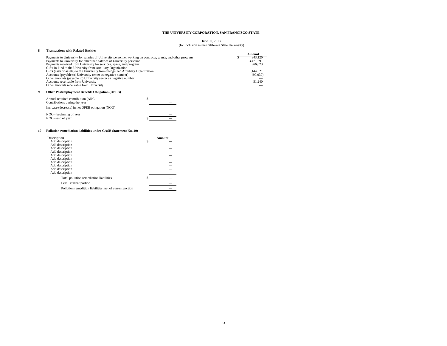#### June 30, 2013 (for inclusion in the California State University)

| 8 | <b>Transactions with Related Entities</b>                                                                                                                                                                                                                                                                                                                                                                                                                                                                                                                                                                                         | Amount                                                             |
|---|-----------------------------------------------------------------------------------------------------------------------------------------------------------------------------------------------------------------------------------------------------------------------------------------------------------------------------------------------------------------------------------------------------------------------------------------------------------------------------------------------------------------------------------------------------------------------------------------------------------------------------------|--------------------------------------------------------------------|
|   | Payments to University for salaries of University personnel working on contracts, grants, and other program<br>Payments to University for other than salaries of University personne<br>Payments received from University for services, space, and program<br>Gifts-in-kind to the University from Auxiliary Organization<br>Gifts (cash or assets) to the University from recognized Auxiliary Organization<br>Accounts (payable to) University (enter as negative number<br>Other amounts (payable to) University (enter as negative number)<br>Accounts receivable from University<br>Other amounts receivable from University | 343,120<br>3,471,591<br>966,073<br>1,144,621<br>(97,030)<br>51,240 |
| 9 | <b>Other Postemployment Benefits Obligation (OPEB)</b>                                                                                                                                                                                                                                                                                                                                                                                                                                                                                                                                                                            |                                                                    |
|   | \$<br>Annual required contribution (ARC)<br>Contributions during the year                                                                                                                                                                                                                                                                                                                                                                                                                                                                                                                                                         |                                                                    |
|   | Increase (decrease) in net OPEB obligation (NOO)                                                                                                                                                                                                                                                                                                                                                                                                                                                                                                                                                                                  |                                                                    |
|   | NOO - beginning of year<br>NOO - end of year                                                                                                                                                                                                                                                                                                                                                                                                                                                                                                                                                                                      |                                                                    |

#### **10 Pollution remediation liabilities under GASB Statement No. 49:**

| <b>Description</b>                                       | Amount |
|----------------------------------------------------------|--------|
| Add description                                          |        |
| Add description                                          |        |
| Add description                                          |        |
| Add description                                          |        |
| Add description                                          |        |
| Add description                                          |        |
| Add description                                          | Ξ      |
| Add description                                          |        |
| Add description                                          |        |
| Add description                                          |        |
| Total pollution remediation liabilities                  |        |
| Less: current portion                                    |        |
| Pollution remedition liabilities, net of current portion |        |